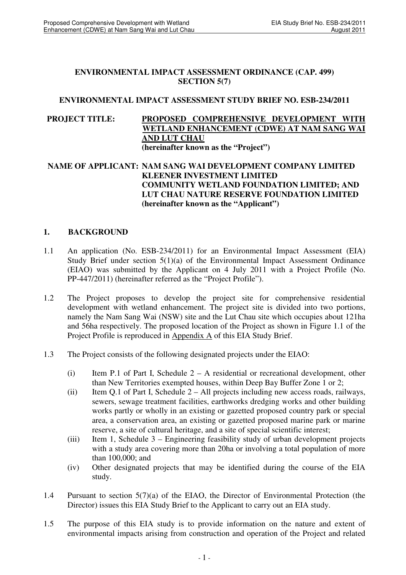#### **ENVIRONMENTAL IMPACT ASSESSMENT ORDINANCE (CAP. 499) SECTION 5(7)**

#### **ENVIRONMENTAL IMPACT ASSESSMENT STUDY BRIEF NO. ESB-234/2011**

#### **PROJECT TITLE: PROPOSED COMPREHENSIVE DEVELOPMENT WITH WETLAND ENHANCEMENT (CDWE) AT NAM SANG WAI AND LUT CHAU (hereinafter known as the "Project")**

#### **NAME OF APPLICANT: NAM SANG WAI DEVELOPMENT COMPANY LIMITED KLEENER INVESTMENT LIMITED COMMUNITY WETLAND FOUNDATION LIMITED; AND LUT CHAU NATURE RESERVE FOUNDATION LIMITED (hereinafter known as the "Applicant")**

### **1. BACKGROUND**

- 1.1 An application (No. ESB-234/2011) for an Environmental Impact Assessment (EIA) Study Brief under section 5(1)(a) of the Environmental Impact Assessment Ordinance (EIAO) was submitted by the Applicant on 4 July 2011 with a Project Profile (No. PP-447/2011) (hereinafter referred as the "Project Profile").
- 1.2 The Project proposes to develop the project site for comprehensive residential development with wetland enhancement. The project site is divided into two portions, namely the Nam Sang Wai (NSW) site and the Lut Chau site which occupies about 121ha and 56ha respectively. The proposed location of the Project as shown in Figure 1.1 of the Project Profile is reproduced in Appendix A of this EIA Study Brief.
- 1.3 The Project consists of the following designated projects under the EIAO:
	- (i) Item P.1 of Part I, Schedule 2 A residential or recreational development, other than New Territories exempted houses, within Deep Bay Buffer Zone 1 or 2;
	- (ii) Item Q.1 of Part I, Schedule 2 All projects including new access roads, railways, sewers, sewage treatment facilities, earthworks dredging works and other building works partly or wholly in an existing or gazetted proposed country park or special area, a conservation area, an existing or gazetted proposed marine park or marine reserve, a site of cultural heritage, and a site of special scientific interest;
	- (iii) Item 1, Schedule 3 Engineering feasibility study of urban development projects with a study area covering more than 20ha or involving a total population of more than 100,000; and
	- (iv) Other designated projects that may be identified during the course of the EIA study.
- 1.4 Pursuant to section 5(7)(a) of the EIAO, the Director of Environmental Protection (the Director) issues this EIA Study Brief to the Applicant to carry out an EIA study.
- 1.5 The purpose of this EIA study is to provide information on the nature and extent of environmental impacts arising from construction and operation of the Project and related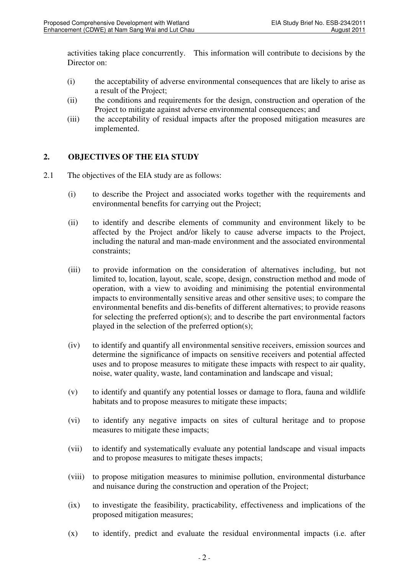activities taking place concurrently. This information will contribute to decisions by the Director on:

- (i) the acceptability of adverse environmental consequences that are likely to arise as a result of the Project;
- (ii) the conditions and requirements for the design, construction and operation of the Project to mitigate against adverse environmental consequences; and
- (iii) the acceptability of residual impacts after the proposed mitigation measures are implemented.

## **2. OBJECTIVES OF THE EIA STUDY**

- 2.1 The objectives of the EIA study are as follows:
	- (i) to describe the Project and associated works together with the requirements and environmental benefits for carrying out the Project;
	- (ii) to identify and describe elements of community and environment likely to be affected by the Project and/or likely to cause adverse impacts to the Project, including the natural and man-made environment and the associated environmental constraints;
	- (iii) to provide information on the consideration of alternatives including, but not limited to, location, layout, scale, scope, design, construction method and mode of operation, with a view to avoiding and minimising the potential environmental impacts to environmentally sensitive areas and other sensitive uses; to compare the environmental benefits and dis-benefits of different alternatives; to provide reasons for selecting the preferred option(s); and to describe the part environmental factors played in the selection of the preferred option(s);
	- (iv) to identify and quantify all environmental sensitive receivers, emission sources and determine the significance of impacts on sensitive receivers and potential affected uses and to propose measures to mitigate these impacts with respect to air quality, noise, water quality, waste, land contamination and landscape and visual;
	- (v) to identify and quantify any potential losses or damage to flora, fauna and wildlife habitats and to propose measures to mitigate these impacts;
	- (vi) to identify any negative impacts on sites of cultural heritage and to propose measures to mitigate these impacts;
	- (vii) to identify and systematically evaluate any potential landscape and visual impacts and to propose measures to mitigate theses impacts;
	- (viii) to propose mitigation measures to minimise pollution, environmental disturbance and nuisance during the construction and operation of the Project;
	- (ix) to investigate the feasibility, practicability, effectiveness and implications of the proposed mitigation measures;
	- (x) to identify, predict and evaluate the residual environmental impacts (i.e. after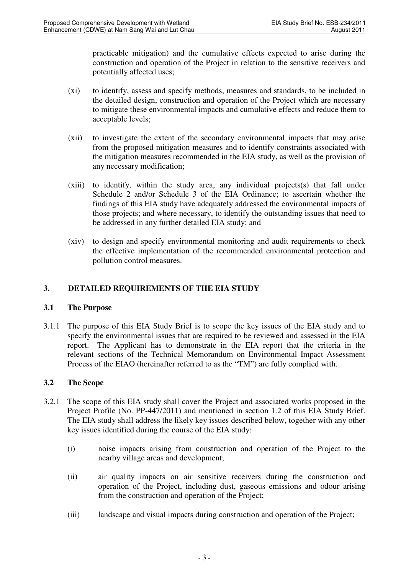practicable mitigation) and the cumulative effects expected to arise during the construction and operation of the Project in relation to the sensitive receivers and potentially affected uses;

- (xi) to identify, assess and specify methods, measures and standards, to be included in the detailed design, construction and operation of the Project which are necessary to mitigate these environmental impacts and cumulative effects and reduce them to acceptable levels;
- (xii) to investigate the extent of the secondary environmental impacts that may arise from the proposed mitigation measures and to identify constraints associated with the mitigation measures recommended in the EIA study, as well as the provision of any necessary modification;
- (xiii) to identify, within the study area, any individual projects(s) that fall under Schedule 2 and/or Schedule 3 of the EIA Ordinance; to ascertain whether the findings of this EIA study have adequately addressed the environmental impacts of those projects; and where necessary, to identify the outstanding issues that need to be addressed in any further detailed EIA study; and
- (xiv) to design and specify environmental monitoring and audit requirements to check the effective implementation of the recommended environmental protection and pollution control measures.

## **3. DETAILED REQUIREMENTS OF THE EIA STUDY**

### **3.1 The Purpose**

3.1.1 The purpose of this EIA Study Brief is to scope the key issues of the EIA study and to specify the environmental issues that are required to be reviewed and assessed in the EIA report. The Applicant has to demonstrate in the EIA report that the criteria in the relevant sections of the Technical Memorandum on Environmental Impact Assessment Process of the EIAO (hereinafter referred to as the "TM") are fully complied with.

### **3.2 The Scope**

- 3.2.1 The scope of this EIA study shall cover the Project and associated works proposed in the Project Profile (No. PP-447/2011) and mentioned in section 1.2 of this EIA Study Brief. The EIA study shall address the likely key issues described below, together with any other key issues identified during the course of the EIA study:
	- (i) noise impacts arising from construction and operation of the Project to the nearby village areas and development;
	- (ii) air quality impacts on air sensitive receivers during the construction and operation of the Project, including dust, gaseous emissions and odour arising from the construction and operation of the Project;
	- (iii) landscape and visual impacts during construction and operation of the Project;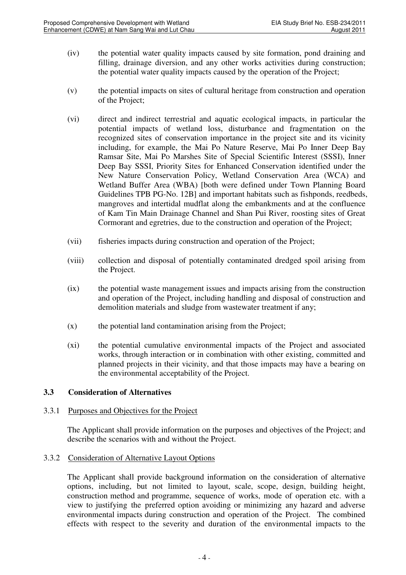- (iv) the potential water quality impacts caused by site formation, pond draining and filling, drainage diversion, and any other works activities during construction; the potential water quality impacts caused by the operation of the Project;
- (v) the potential impacts on sites of cultural heritage from construction and operation of the Project;
- (vi) direct and indirect terrestrial and aquatic ecological impacts, in particular the potential impacts of wetland loss, disturbance and fragmentation on the recognized sites of conservation importance in the project site and its vicinity including, for example, the Mai Po Nature Reserve, Mai Po Inner Deep Bay Ramsar Site, Mai Po Marshes Site of Special Scientific Interest (SSSI), Inner Deep Bay SSSI, Priority Sites for Enhanced Conservation identified under the New Nature Conservation Policy, Wetland Conservation Area (WCA) and Wetland Buffer Area (WBA) [both were defined under Town Planning Board Guidelines TPB PG-No. 12B] and important habitats such as fishponds, reedbeds, mangroves and intertidal mudflat along the embankments and at the confluence of Kam Tin Main Drainage Channel and Shan Pui River, roosting sites of Great Cormorant and egretries, due to the construction and operation of the Project;
- (vii) fisheries impacts during construction and operation of the Project;
- (viii) collection and disposal of potentially contaminated dredged spoil arising from the Project.
- (ix) the potential waste management issues and impacts arising from the construction and operation of the Project, including handling and disposal of construction and demolition materials and sludge from wastewater treatment if any;
- (x) the potential land contamination arising from the Project;
- (xi) the potential cumulative environmental impacts of the Project and associated works, through interaction or in combination with other existing, committed and planned projects in their vicinity, and that those impacts may have a bearing on the environmental acceptability of the Project.

#### **3.3 Consideration of Alternatives**

#### 3.3.1 Purposes and Objectives for the Project

 The Applicant shall provide information on the purposes and objectives of the Project; and describe the scenarios with and without the Project.

#### 3.3.2 Consideration of Alternative Layout Options

The Applicant shall provide background information on the consideration of alternative options, including, but not limited to layout, scale, scope, design, building height, construction method and programme, sequence of works, mode of operation etc. with a view to justifying the preferred option avoiding or minimizing any hazard and adverse environmental impacts during construction and operation of the Project. The combined effects with respect to the severity and duration of the environmental impacts to the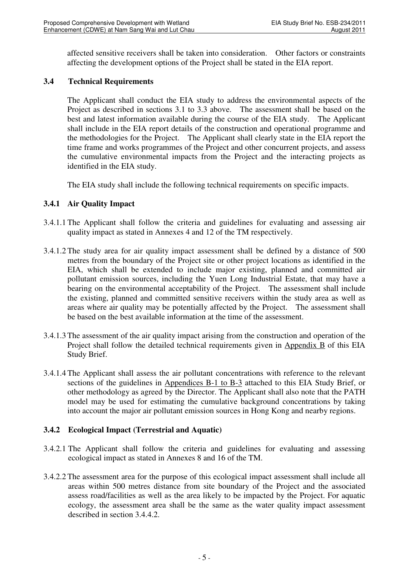affected sensitive receivers shall be taken into consideration. Other factors or constraints affecting the development options of the Project shall be stated in the EIA report.

### **3.4 Technical Requirements**

 The Applicant shall conduct the EIA study to address the environmental aspects of the Project as described in sections 3.1 to 3.3 above. The assessment shall be based on the best and latest information available during the course of the EIA study. The Applicant shall include in the EIA report details of the construction and operational programme and the methodologies for the Project. The Applicant shall clearly state in the EIA report the time frame and works programmes of the Project and other concurrent projects, and assess the cumulative environmental impacts from the Project and the interacting projects as identified in the EIA study.

The EIA study shall include the following technical requirements on specific impacts.

### **3.4.1 Air Quality Impact**

- 3.4.1.1 The Applicant shall follow the criteria and guidelines for evaluating and assessing air quality impact as stated in Annexes 4 and 12 of the TM respectively.
- 3.4.1.2 The study area for air quality impact assessment shall be defined by a distance of 500 metres from the boundary of the Project site or other project locations as identified in the EIA, which shall be extended to include major existing, planned and committed air pollutant emission sources, including the Yuen Long Industrial Estate, that may have a bearing on the environmental acceptability of the Project. The assessment shall include the existing, planned and committed sensitive receivers within the study area as well as areas where air quality may be potentially affected by the Project. The assessment shall be based on the best available information at the time of the assessment.
- 3.4.1.3 The assessment of the air quality impact arising from the construction and operation of the Project shall follow the detailed technical requirements given in Appendix B of this EIA Study Brief.
- 3.4.1.4 The Applicant shall assess the air pollutant concentrations with reference to the relevant sections of the guidelines in Appendices B-1 to B-3 attached to this EIA Study Brief, or other methodology as agreed by the Director. The Applicant shall also note that the PATH model may be used for estimating the cumulative background concentrations by taking into account the major air pollutant emission sources in Hong Kong and nearby regions.

### **3.4.2 Ecological Impact (Terrestrial and Aquatic)**

- 3.4.2.1 The Applicant shall follow the criteria and guidelines for evaluating and assessing ecological impact as stated in Annexes 8 and 16 of the TM.
- 3.4.2.2 The assessment area for the purpose of this ecological impact assessment shall include all areas within 500 metres distance from site boundary of the Project and the associated assess road/facilities as well as the area likely to be impacted by the Project. For aquatic ecology, the assessment area shall be the same as the water quality impact assessment described in section 3.4.4.2.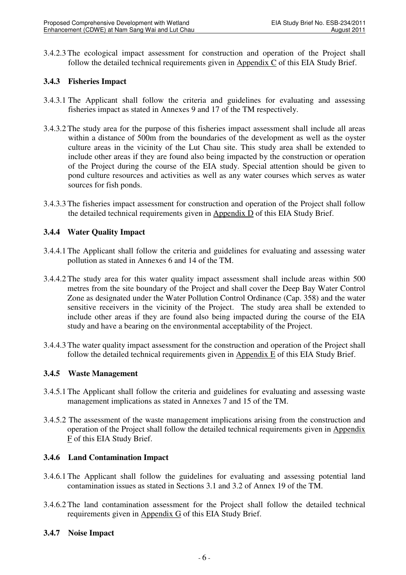3.4.2.3 The ecological impact assessment for construction and operation of the Project shall follow the detailed technical requirements given in Appendix C of this EIA Study Brief.

### **3.4.3 Fisheries Impact**

- 3.4.3.1 The Applicant shall follow the criteria and guidelines for evaluating and assessing fisheries impact as stated in Annexes 9 and 17 of the TM respectively.
- 3.4.3.2 The study area for the purpose of this fisheries impact assessment shall include all areas within a distance of 500m from the boundaries of the development as well as the oyster culture areas in the vicinity of the Lut Chau site. This study area shall be extended to include other areas if they are found also being impacted by the construction or operation of the Project during the course of the EIA study. Special attention should be given to pond culture resources and activities as well as any water courses which serves as water sources for fish ponds.
- 3.4.3.3 The fisheries impact assessment for construction and operation of the Project shall follow the detailed technical requirements given in Appendix D of this EIA Study Brief.

### **3.4.4 Water Quality Impact**

- 3.4.4.1 The Applicant shall follow the criteria and guidelines for evaluating and assessing water pollution as stated in Annexes 6 and 14 of the TM.
- 3.4.4.2 The study area for this water quality impact assessment shall include areas within 500 metres from the site boundary of the Project and shall cover the Deep Bay Water Control Zone as designated under the Water Pollution Control Ordinance (Cap. 358) and the water sensitive receivers in the vicinity of the Project. The study area shall be extended to include other areas if they are found also being impacted during the course of the EIA study and have a bearing on the environmental acceptability of the Project.
- 3.4.4.3 The water quality impact assessment for the construction and operation of the Project shall follow the detailed technical requirements given in Appendix E of this EIA Study Brief.

### **3.4.5 Waste Management**

- 3.4.5.1 The Applicant shall follow the criteria and guidelines for evaluating and assessing waste management implications as stated in Annexes 7 and 15 of the TM.
- 3.4.5.2 The assessment of the waste management implications arising from the construction and operation of the Project shall follow the detailed technical requirements given in Appendix F of this EIA Study Brief.

### **3.4.6 Land Contamination Impact**

- 3.4.6.1 The Applicant shall follow the guidelines for evaluating and assessing potential land contamination issues as stated in Sections 3.1 and 3.2 of Annex 19 of the TM.
- 3.4.6.2 The land contamination assessment for the Project shall follow the detailed technical requirements given in Appendix G of this EIA Study Brief.

#### **3.4.7 Noise Impact**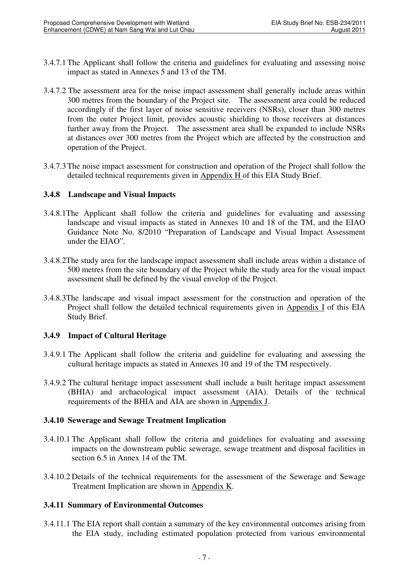- 3.4.7.1 The Applicant shall follow the criteria and guidelines for evaluating and assessing noise impact as stated in Annexes 5 and 13 of the TM.
- 3.4.7.2 The assessment area for the noise impact assessment shall generally include areas within 300 metres from the boundary of the Project site. The assessment area could be reduced accordingly if the first layer of noise sensitive receivers (NSRs), closer than 300 metres from the outer Project limit, provides acoustic shielding to those receivers at distances further away from the Project. The assessment area shall be expanded to include NSRs at distances over 300 metres from the Project which are affected by the construction and operation of the Project.
- 3.4.7.3 The noise impact assessment for construction and operation of the Project shall follow the detailed technical requirements given in Appendix H of this EIA Study Brief.

#### **3.4.8 Landscape and Visual Impacts**

- 3.4.8.1The Applicant shall follow the criteria and guidelines for evaluating and assessing landscape and visual impacts as stated in Annexes 10 and 18 of the TM, and the EIAO Guidance Note No. 8/2010 "Preparation of Landscape and Visual Impact Assessment under the EIAO".
- 3.4.8.2The study area for the landscape impact assessment shall include areas within a distance of 500 metres from the site boundary of the Project while the study area for the visual impact assessment shall be defined by the visual envelop of the Project.
- 3.4.8.3The landscape and visual impact assessment for the construction and operation of the Project shall follow the detailed technical requirements given in Appendix I of this EIA Study Brief.

### **3.4.9 Impact of Cultural Heritage**

- 3.4.9.1 The Applicant shall follow the criteria and guideline for evaluating and assessing the cultural heritage impacts as stated in Annexes 10 and 19 of the TM respectively.
- 3.4.9.2 The cultural heritage impact assessment shall include a built heritage impact assessment (BHIA) and archaeological impact assessment (AIA). Details of the technical requirements of the BHIA and AIA are shown in Appendix J.

### **3.4.10 Sewerage and Sewage Treatment Implication**

- 3.4.10.1 The Applicant shall follow the criteria and guidelines for evaluating and assessing impacts on the downstream public sewerage, sewage treatment and disposal facilities in section 6.5 in Annex 14 of the TM.
- 3.4.10.2 Details of the technical requirements for the assessment of the Sewerage and Sewage Treatment Implication are shown in Appendix K.

### **3.4.11 Summary of Environmental Outcomes**

3.4.11.1 The EIA report shall contain a summary of the key environmental outcomes arising from the EIA study, including estimated population protected from various environmental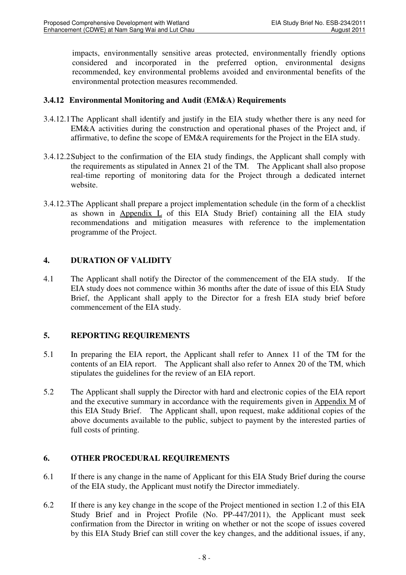impacts, environmentally sensitive areas protected, environmentally friendly options considered and incorporated in the preferred option, environmental designs recommended, key environmental problems avoided and environmental benefits of the environmental protection measures recommended.

### **3.4.12 Environmental Monitoring and Audit (EM&A) Requirements**

- 3.4.12.1 The Applicant shall identify and justify in the EIA study whether there is any need for EM&A activities during the construction and operational phases of the Project and, if affirmative, to define the scope of EM&A requirements for the Project in the EIA study.
- 3.4.12.2 Subject to the confirmation of the EIA study findings, the Applicant shall comply with the requirements as stipulated in Annex 21 of the TM. The Applicant shall also propose real-time reporting of monitoring data for the Project through a dedicated internet website.
- 3.4.12.3 The Applicant shall prepare a project implementation schedule (in the form of a checklist as shown in Appendix L of this EIA Study Brief) containing all the EIA study recommendations and mitigation measures with reference to the implementation programme of the Project.

### **4. DURATION OF VALIDITY**

4.1 The Applicant shall notify the Director of the commencement of the EIA study. If the EIA study does not commence within 36 months after the date of issue of this EIA Study Brief, the Applicant shall apply to the Director for a fresh EIA study brief before commencement of the EIA study.

### **5. REPORTING REQUIREMENTS**

- 5.1 In preparing the EIA report, the Applicant shall refer to Annex 11 of the TM for the contents of an EIA report. The Applicant shall also refer to Annex 20 of the TM, which stipulates the guidelines for the review of an EIA report.
- 5.2 The Applicant shall supply the Director with hard and electronic copies of the EIA report and the executive summary in accordance with the requirements given in Appendix M of this EIA Study Brief. The Applicant shall, upon request, make additional copies of the above documents available to the public, subject to payment by the interested parties of full costs of printing.

### **6. OTHER PROCEDURAL REQUIREMENTS**

- 6.1 If there is any change in the name of Applicant for this EIA Study Brief during the course of the EIA study, the Applicant must notify the Director immediately.
- 6.2 If there is any key change in the scope of the Project mentioned in section 1.2 of this EIA Study Brief and in Project Profile (No. PP-447/2011), the Applicant must seek confirmation from the Director in writing on whether or not the scope of issues covered by this EIA Study Brief can still cover the key changes, and the additional issues, if any,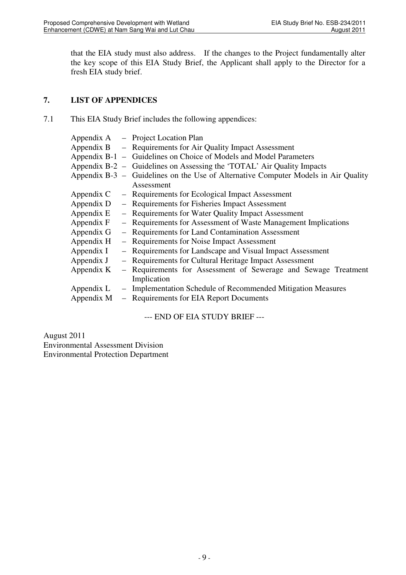that the EIA study must also address. If the changes to the Project fundamentally alter the key scope of this EIA Study Brief, the Applicant shall apply to the Director for a fresh EIA study brief.

### **7. LIST OF APPENDICES**

7.1 This EIA Study Brief includes the following appendices:

|            |                                                | Appendix A – Project Location Plan                                                 |  |  |  |
|------------|------------------------------------------------|------------------------------------------------------------------------------------|--|--|--|
|            |                                                | Appendix B – Requirements for Air Quality Impact Assessment                        |  |  |  |
|            |                                                | Appendix B-1 – Guidelines on Choice of Models and Model Parameters                 |  |  |  |
|            |                                                | Appendix B-2 – Guidelines on Assessing the 'TOTAL' Air Quality Impacts             |  |  |  |
|            |                                                | Appendix B-3 – Guidelines on the Use of Alternative Computer Models in Air Quality |  |  |  |
|            |                                                | Assessment                                                                         |  |  |  |
| Appendix C |                                                | - Requirements for Ecological Impact Assessment                                    |  |  |  |
| Appendix D | - Requirements for Fisheries Impact Assessment |                                                                                    |  |  |  |
| Appendix E |                                                | - Requirements for Water Quality Impact Assessment                                 |  |  |  |
| Appendix F |                                                | - Requirements for Assessment of Waste Management Implications                     |  |  |  |
| Appendix G |                                                | - Requirements for Land Contamination Assessment                                   |  |  |  |
| Appendix H |                                                | - Requirements for Noise Impact Assessment                                         |  |  |  |
| Appendix I |                                                | - Requirements for Landscape and Visual Impact Assessment                          |  |  |  |
| Appendix J |                                                | - Requirements for Cultural Heritage Impact Assessment                             |  |  |  |
| Appendix K |                                                | - Requirements for Assessment of Sewerage and Sewage Treatment                     |  |  |  |
|            |                                                | Implication                                                                        |  |  |  |
| Appendix L |                                                | - Implementation Schedule of Recommended Mitigation Measures                       |  |  |  |
| Appendix M |                                                | - Requirements for EIA Report Documents                                            |  |  |  |
|            |                                                |                                                                                    |  |  |  |

--- END OF EIA STUDY BRIEF ---

August 2011 Environmental Assessment Division Environmental Protection Department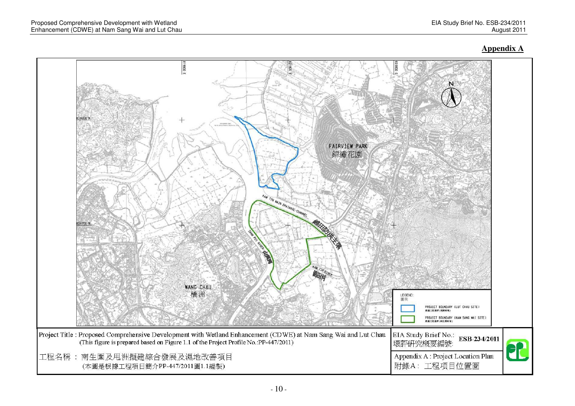#### **Appendix A**

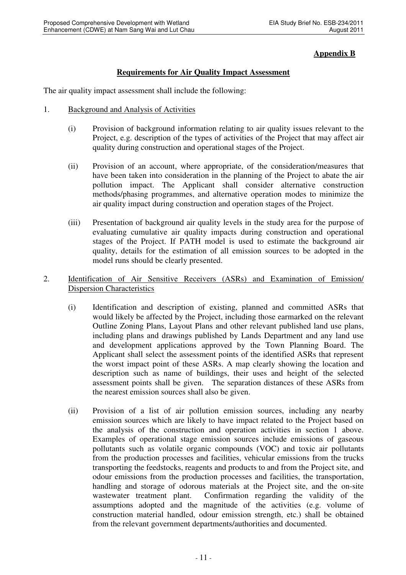### **Appendix B**

### **Requirements for Air Quality Impact Assessment**

The air quality impact assessment shall include the following:

- 1. Background and Analysis of Activities
	- (i) Provision of background information relating to air quality issues relevant to the Project, e.g. description of the types of activities of the Project that may affect air quality during construction and operational stages of the Project.
	- (ii) Provision of an account, where appropriate, of the consideration/measures that have been taken into consideration in the planning of the Project to abate the air pollution impact. The Applicant shall consider alternative construction methods/phasing programmes, and alternative operation modes to minimize the air quality impact during construction and operation stages of the Project.
	- (iii) Presentation of background air quality levels in the study area for the purpose of evaluating cumulative air quality impacts during construction and operational stages of the Project. If PATH model is used to estimate the background air quality, details for the estimation of all emission sources to be adopted in the model runs should be clearly presented.
- 2. Identification of Air Sensitive Receivers (ASRs) and Examination of Emission/ Dispersion Characteristics
	- (i) Identification and description of existing, planned and committed ASRs that would likely be affected by the Project, including those earmarked on the relevant Outline Zoning Plans, Layout Plans and other relevant published land use plans, including plans and drawings published by Lands Department and any land use and development applications approved by the Town Planning Board. The Applicant shall select the assessment points of the identified ASRs that represent the worst impact point of these ASRs. A map clearly showing the location and description such as name of buildings, their uses and height of the selected assessment points shall be given. The separation distances of these ASRs from the nearest emission sources shall also be given.
	- (ii) Provision of a list of air pollution emission sources, including any nearby emission sources which are likely to have impact related to the Project based on the analysis of the construction and operation activities in section 1 above. Examples of operational stage emission sources include emissions of gaseous pollutants such as volatile organic compounds (VOC) and toxic air pollutants from the production processes and facilities, vehicular emissions from the trucks transporting the feedstocks, reagents and products to and from the Project site, and odour emissions from the production processes and facilities, the transportation, handling and storage of odorous materials at the Project site, and the on-site wastewater treatment plant. Confirmation regarding the validity of the assumptions adopted and the magnitude of the activities (e.g. volume of construction material handled, odour emission strength, etc.) shall be obtained from the relevant government departments/authorities and documented.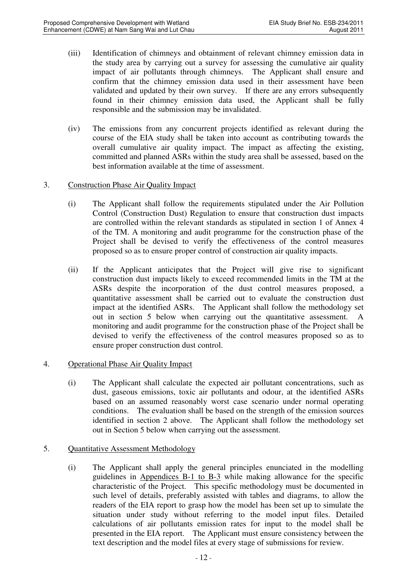- (iii) Identification of chimneys and obtainment of relevant chimney emission data in the study area by carrying out a survey for assessing the cumulative air quality impact of air pollutants through chimneys. The Applicant shall ensure and confirm that the chimney emission data used in their assessment have been validated and updated by their own survey. If there are any errors subsequently found in their chimney emission data used, the Applicant shall be fully responsible and the submission may be invalidated.
- (iv) The emissions from any concurrent projects identified as relevant during the course of the EIA study shall be taken into account as contributing towards the overall cumulative air quality impact. The impact as affecting the existing, committed and planned ASRs within the study area shall be assessed, based on the best information available at the time of assessment.
- 3. Construction Phase Air Quality Impact
	- (i) The Applicant shall follow the requirements stipulated under the Air Pollution Control (Construction Dust) Regulation to ensure that construction dust impacts are controlled within the relevant standards as stipulated in section 1 of Annex 4 of the TM. A monitoring and audit programme for the construction phase of the Project shall be devised to verify the effectiveness of the control measures proposed so as to ensure proper control of construction air quality impacts.
	- (ii) If the Applicant anticipates that the Project will give rise to significant construction dust impacts likely to exceed recommended limits in the TM at the ASRs despite the incorporation of the dust control measures proposed, a quantitative assessment shall be carried out to evaluate the construction dust impact at the identified ASRs. The Applicant shall follow the methodology set out in section 5 below when carrying out the quantitative assessment. A monitoring and audit programme for the construction phase of the Project shall be devised to verify the effectiveness of the control measures proposed so as to ensure proper construction dust control.
- 4. Operational Phase Air Quality Impact
	- (i) The Applicant shall calculate the expected air pollutant concentrations, such as dust, gaseous emissions, toxic air pollutants and odour, at the identified ASRs based on an assumed reasonably worst case scenario under normal operating conditions. The evaluation shall be based on the strength of the emission sources identified in section 2 above. The Applicant shall follow the methodology set out in Section 5 below when carrying out the assessment.
- 5. Quantitative Assessment Methodology
	- (i) The Applicant shall apply the general principles enunciated in the modelling guidelines in Appendices B-1 to B-3 while making allowance for the specific characteristic of the Project. This specific methodology must be documented in such level of details, preferably assisted with tables and diagrams, to allow the readers of the EIA report to grasp how the model has been set up to simulate the situation under study without referring to the model input files. Detailed calculations of air pollutants emission rates for input to the model shall be presented in the EIA report. The Applicant must ensure consistency between the text description and the model files at every stage of submissions for review.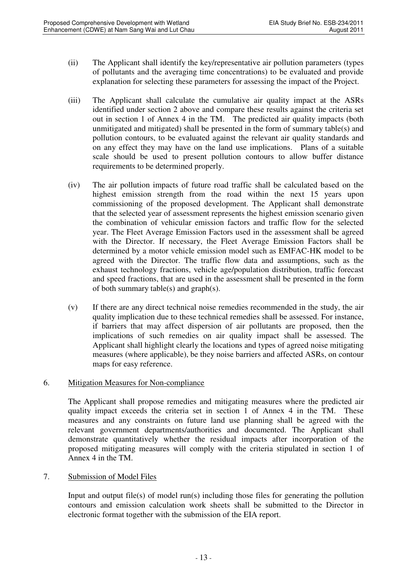- (ii) The Applicant shall identify the key/representative air pollution parameters (types of pollutants and the averaging time concentrations) to be evaluated and provide explanation for selecting these parameters for assessing the impact of the Project.
- (iii) The Applicant shall calculate the cumulative air quality impact at the ASRs identified under section 2 above and compare these results against the criteria set out in section 1 of Annex 4 in the TM. The predicted air quality impacts (both unmitigated and mitigated) shall be presented in the form of summary table(s) and pollution contours, to be evaluated against the relevant air quality standards and on any effect they may have on the land use implications. Plans of a suitable scale should be used to present pollution contours to allow buffer distance requirements to be determined properly.
- (iv) The air pollution impacts of future road traffic shall be calculated based on the highest emission strength from the road within the next 15 years upon commissioning of the proposed development. The Applicant shall demonstrate that the selected year of assessment represents the highest emission scenario given the combination of vehicular emission factors and traffic flow for the selected year. The Fleet Average Emission Factors used in the assessment shall be agreed with the Director. If necessary, the Fleet Average Emission Factors shall be determined by a motor vehicle emission model such as EMFAC-HK model to be agreed with the Director. The traffic flow data and assumptions, such as the exhaust technology fractions, vehicle age/population distribution, traffic forecast and speed fractions, that are used in the assessment shall be presented in the form of both summary table(s) and graph(s).
- (v) If there are any direct technical noise remedies recommended in the study, the air quality implication due to these technical remedies shall be assessed. For instance, if barriers that may affect dispersion of air pollutants are proposed, then the implications of such remedies on air quality impact shall be assessed. The Applicant shall highlight clearly the locations and types of agreed noise mitigating measures (where applicable), be they noise barriers and affected ASRs, on contour maps for easy reference.

### 6. Mitigation Measures for Non-compliance

The Applicant shall propose remedies and mitigating measures where the predicted air quality impact exceeds the criteria set in section 1 of Annex 4 in the TM. These measures and any constraints on future land use planning shall be agreed with the relevant government departments/authorities and documented. The Applicant shall demonstrate quantitatively whether the residual impacts after incorporation of the proposed mitigating measures will comply with the criteria stipulated in section 1 of Annex 4 in the TM.

### 7. Submission of Model Files

Input and output file(s) of model run(s) including those files for generating the pollution contours and emission calculation work sheets shall be submitted to the Director in electronic format together with the submission of the EIA report.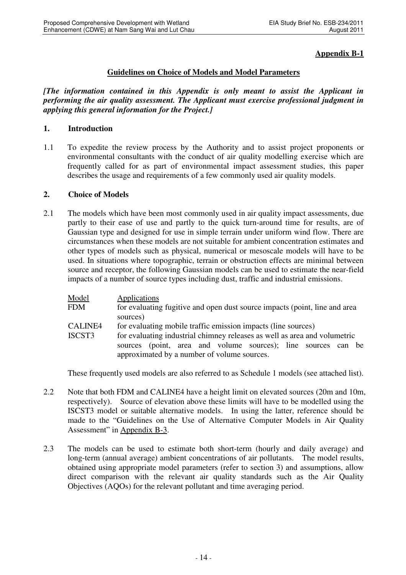### **Appendix B-1**

### **Guidelines on Choice of Models and Model Parameters**

*[The information contained in this Appendix is only meant to assist the Applicant in performing the air quality assessment. The Applicant must exercise professional judgment in applying this general information for the Project.]*

#### **1. Introduction**

1.1 To expedite the review process by the Authority and to assist project proponents or environmental consultants with the conduct of air quality modelling exercise which are frequently called for as part of environmental impact assessment studies, this paper describes the usage and requirements of a few commonly used air quality models.

#### **2. Choice of Models**

2.1 The models which have been most commonly used in air quality impact assessments, due partly to their ease of use and partly to the quick turn-around time for results, are of Gaussian type and designed for use in simple terrain under uniform wind flow. There are circumstances when these models are not suitable for ambient concentration estimates and other types of models such as physical, numerical or mesoscale models will have to be used. In situations where topographic, terrain or obstruction effects are minimal between source and receptor, the following Gaussian models can be used to estimate the near-field impacts of a number of source types including dust, traffic and industrial emissions.

| Model                                                                                                                                                                  | Applications                                                               |  |  |  |
|------------------------------------------------------------------------------------------------------------------------------------------------------------------------|----------------------------------------------------------------------------|--|--|--|
| <b>FDM</b>                                                                                                                                                             | for evaluating fugitive and open dust source impacts (point, line and area |  |  |  |
|                                                                                                                                                                        | sources)                                                                   |  |  |  |
| <b>CALINE4</b><br>for evaluating mobile traffic emission impacts (line sources)<br>for evaluating industrial chimney releases as well as area and volumetric<br>ISCST3 |                                                                            |  |  |  |
|                                                                                                                                                                        |                                                                            |  |  |  |

These frequently used models are also referred to as Schedule 1 models (see attached list).

- 2.2 Note that both FDM and CALINE4 have a height limit on elevated sources (20m and 10m, respectively). Source of elevation above these limits will have to be modelled using the ISCST3 model or suitable alternative models. In using the latter, reference should be made to the "Guidelines on the Use of Alternative Computer Models in Air Quality Assessment" in Appendix B-3.
- 2.3 The models can be used to estimate both short-term (hourly and daily average) and long-term (annual average) ambient concentrations of air pollutants. The model results, obtained using appropriate model parameters (refer to section 3) and assumptions, allow direct comparison with the relevant air quality standards such as the Air Quality Objectives (AQOs) for the relevant pollutant and time averaging period.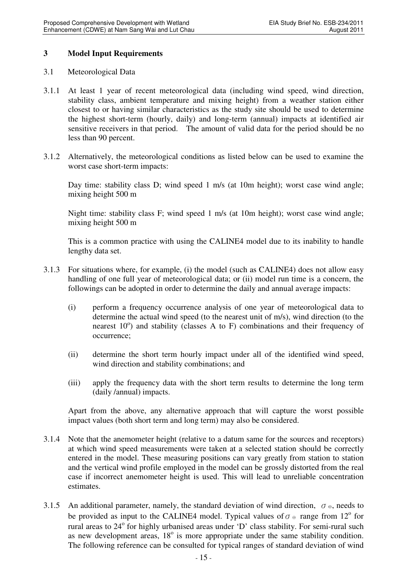#### **3 Model Input Requirements**

#### 3.1 Meteorological Data

- 3.1.1 At least 1 year of recent meteorological data (including wind speed, wind direction, stability class, ambient temperature and mixing height) from a weather station either closest to or having similar characteristics as the study site should be used to determine the highest short-term (hourly, daily) and long-term (annual) impacts at identified air sensitive receivers in that period. The amount of valid data for the period should be no less than 90 percent.
- 3.1.2 Alternatively, the meteorological conditions as listed below can be used to examine the worst case short-term impacts:

Day time: stability class D; wind speed 1 m/s (at 10m height); worst case wind angle; mixing height 500 m

Night time: stability class F; wind speed 1 m/s (at 10m height); worst case wind angle; mixing height 500 m

This is a common practice with using the CALINE4 model due to its inability to handle lengthy data set.

- 3.1.3 For situations where, for example, (i) the model (such as CALINE4) does not allow easy handling of one full year of meteorological data; or (ii) model run time is a concern, the followings can be adopted in order to determine the daily and annual average impacts:
	- (i) perform a frequency occurrence analysis of one year of meteorological data to determine the actual wind speed (to the nearest unit of m/s), wind direction (to the nearest 10°) and stability (classes A to F) combinations and their frequency of occurrence;
	- (ii) determine the short term hourly impact under all of the identified wind speed, wind direction and stability combinations; and
	- (iii) apply the frequency data with the short term results to determine the long term (daily /annual) impacts.

Apart from the above, any alternative approach that will capture the worst possible impact values (both short term and long term) may also be considered.

- 3.1.4 Note that the anemometer height (relative to a datum same for the sources and receptors) at which wind speed measurements were taken at a selected station should be correctly entered in the model. These measuring positions can vary greatly from station to station and the vertical wind profile employed in the model can be grossly distorted from the real case if incorrect anemometer height is used. This will lead to unreliable concentration estimates.
- 3.1.5 An additional parameter, namely, the standard deviation of wind direction,  $\sigma_{\theta}$ , needs to be provided as input to the CALINE4 model. Typical values of  $\sigma_{\theta}$  range from 12<sup>o</sup> for rural areas to 24° for highly urbanised areas under 'D' class stability. For semi-rural such as new development areas,  $18^\circ$  is more appropriate under the same stability condition. The following reference can be consulted for typical ranges of standard deviation of wind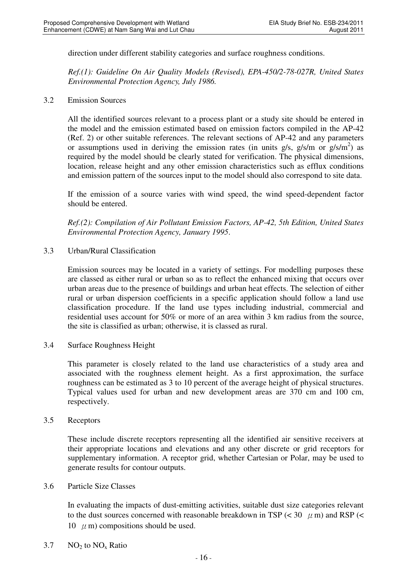direction under different stability categories and surface roughness conditions.

*Ref.(1): Guideline On Air Quality Models (Revised), EPA-450/2-78-027R, United States Environmental Protection Agency, July 1986.* 

3.2 Emission Sources

All the identified sources relevant to a process plant or a study site should be entered in the model and the emission estimated based on emission factors compiled in the AP-42 (Ref. 2) or other suitable references. The relevant sections of AP-42 and any parameters or assumptions used in deriving the emission rates (in units  $g/s$ ,  $g/s/m$  or  $g/s/m<sup>2</sup>$ ) as required by the model should be clearly stated for verification. The physical dimensions, location, release height and any other emission characteristics such as efflux conditions and emission pattern of the sources input to the model should also correspond to site data.

If the emission of a source varies with wind speed, the wind speed-dependent factor should be entered.

*Ref.(2): Compilation of Air Pollutant Emission Factors, AP-42, 5th Edition, United States Environmental Protection Agency, January 1995*.

3.3 Urban/Rural Classification

Emission sources may be located in a variety of settings. For modelling purposes these are classed as either rural or urban so as to reflect the enhanced mixing that occurs over urban areas due to the presence of buildings and urban heat effects. The selection of either rural or urban dispersion coefficients in a specific application should follow a land use classification procedure. If the land use types including industrial, commercial and residential uses account for 50% or more of an area within 3 km radius from the source, the site is classified as urban; otherwise, it is classed as rural.

3.4 Surface Roughness Height

This parameter is closely related to the land use characteristics of a study area and associated with the roughness element height. As a first approximation, the surface roughness can be estimated as 3 to 10 percent of the average height of physical structures. Typical values used for urban and new development areas are 370 cm and 100 cm, respectively.

3.5 Receptors

These include discrete receptors representing all the identified air sensitive receivers at their appropriate locations and elevations and any other discrete or grid receptors for supplementary information. A receptor grid, whether Cartesian or Polar, may be used to generate results for contour outputs.

3.6 Particle Size Classes

In evaluating the impacts of dust-emitting activities, suitable dust size categories relevant to the dust sources concerned with reasonable breakdown in TSP ( $<$  30  $\mu$  m) and RSP ( $<$ 10  $\mu$  m) compositions should be used.

3.7 NO<sub>2</sub> to  $NO_x$  Ratio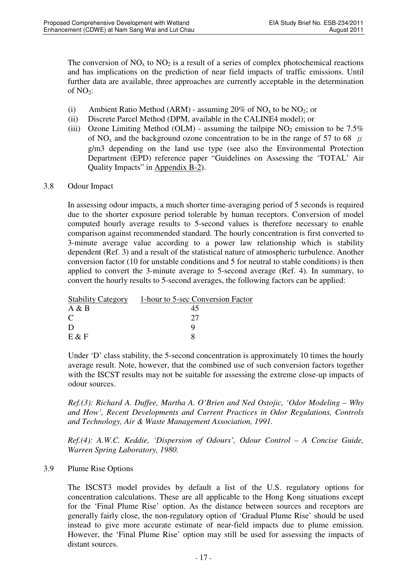The conversion of  $NO<sub>x</sub>$  to  $NO<sub>2</sub>$  is a result of a series of complex photochemical reactions and has implications on the prediction of near field impacts of traffic emissions. Until further data are available, three approaches are currently acceptable in the determination of  $NO<sub>2</sub>$ :

- (i) Ambient Ratio Method (ARM) assuming 20% of  $NO<sub>x</sub>$  to be  $NO<sub>2</sub>$ ; or
- (ii) Discrete Parcel Method (DPM, available in the CALINE4 model); or
- (iii) Ozone Limiting Method (OLM) assuming the tailpipe  $NO<sub>2</sub>$  emission to be 7.5% of NO<sub>x</sub> and the background ozone concentration to be in the range of 57 to 68  $\mu$ g/m3 depending on the land use type (see also the Environmental Protection Department (EPD) reference paper "Guidelines on Assessing the 'TOTAL' Air Quality Impacts" in Appendix B-2).

#### 3.8 Odour Impact

In assessing odour impacts, a much shorter time-averaging period of 5 seconds is required due to the shorter exposure period tolerable by human receptors. Conversion of model computed hourly average results to 5-second values is therefore necessary to enable comparison against recommended standard. The hourly concentration is first converted to 3-minute average value according to a power law relationship which is stability dependent (Ref. 3) and a result of the statistical nature of atmospheric turbulence. Another conversion factor (10 for unstable conditions and 5 for neutral to stable conditions) is then applied to convert the 3-minute average to 5-second average (Ref. 4). In summary, to convert the hourly results to 5-second averages, the following factors can be applied:

| <b>Stability Category</b> | 1-hour to 5-sec Conversion Factor |
|---------------------------|-----------------------------------|
| A & B                     | 45                                |
| C                         | クフ                                |
| D                         |                                   |
| $E \& F$                  |                                   |

Under 'D' class stability, the 5-second concentration is approximately 10 times the hourly average result. Note, however, that the combined use of such conversion factors together with the ISCST results may not be suitable for assessing the extreme close-up impacts of odour sources.

*Ref.(3): Richard A. Duffee, Martha A. O'Brien and Ned Ostojic, 'Odor Modeling – Why and How', Recent Developments and Current Practices in Odor Regulations, Controls and Technology, Air & Waste Management Association, 1991.* 

*Ref.(4): A.W.C. Keddie, 'Dispersion of Odours', Odour Control – A Concise Guide, Warren Spring Laboratory, 1980.* 

#### 3.9 Plume Rise Options

The ISCST3 model provides by default a list of the U.S. regulatory options for concentration calculations. These are all applicable to the Hong Kong situations except for the 'Final Plume Rise' option. As the distance between sources and receptors are generally fairly close, the non-regulatory option of 'Gradual Plume Rise' should be used instead to give more accurate estimate of near-field impacts due to plume emission. However, the 'Final Plume Rise' option may still be used for assessing the impacts of distant sources.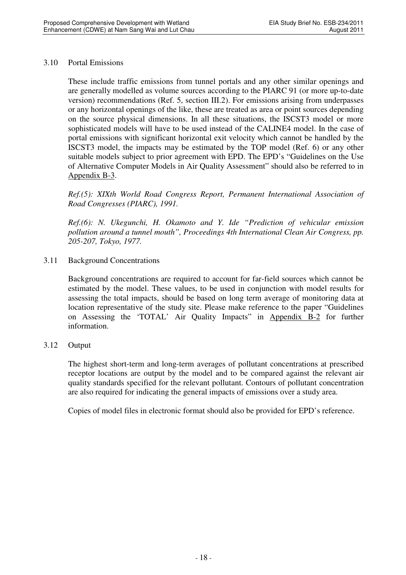#### 3.10 Portal Emissions

These include traffic emissions from tunnel portals and any other similar openings and are generally modelled as volume sources according to the PIARC 91 (or more up-to-date version) recommendations (Ref. 5, section III.2). For emissions arising from underpasses or any horizontal openings of the like, these are treated as area or point sources depending on the source physical dimensions. In all these situations, the ISCST3 model or more sophisticated models will have to be used instead of the CALINE4 model. In the case of portal emissions with significant horizontal exit velocity which cannot be handled by the ISCST3 model, the impacts may be estimated by the TOP model (Ref. 6) or any other suitable models subject to prior agreement with EPD. The EPD's "Guidelines on the Use of Alternative Computer Models in Air Quality Assessment" should also be referred to in Appendix B-3.

*Ref.(5): XIXth World Road Congress Report, Permanent International Association of Road Congresses (PIARC), 1991.* 

*Ref.(6): N. Ukegunchi, H. Okamoto and Y. Ide "Prediction of vehicular emission pollution around a tunnel mouth", Proceedings 4th International Clean Air Congress, pp. 205-207, Tokyo, 1977.* 

3.11 Background Concentrations

Background concentrations are required to account for far-field sources which cannot be estimated by the model. These values, to be used in conjunction with model results for assessing the total impacts, should be based on long term average of monitoring data at location representative of the study site. Please make reference to the paper "Guidelines on Assessing the 'TOTAL' Air Quality Impacts" in Appendix B-2 for further information.

#### 3.12 Output

The highest short-term and long-term averages of pollutant concentrations at prescribed receptor locations are output by the model and to be compared against the relevant air quality standards specified for the relevant pollutant. Contours of pollutant concentration are also required for indicating the general impacts of emissions over a study area.

Copies of model files in electronic format should also be provided for EPD's reference.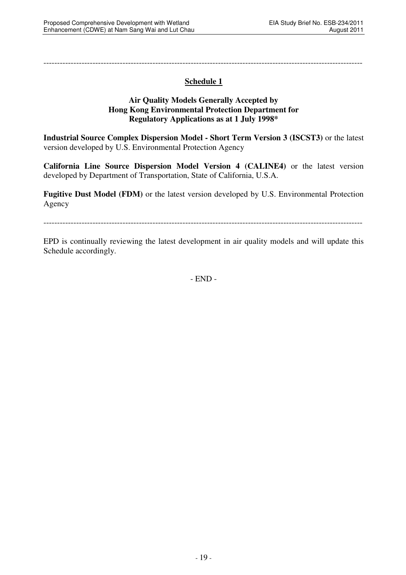---------------------------------------------------------------------------------------------------------------------

# **Schedule 1**

#### **Air Quality Models Generally Accepted by Hong Kong Environmental Protection Department for Regulatory Applications as at 1 July 1998\***

**Industrial Source Complex Dispersion Model - Short Term Version 3 (ISCST3)** or the latest version developed by U.S. Environmental Protection Agency

**California Line Source Dispersion Model Version 4 (CALINE4)** or the latest version developed by Department of Transportation, State of California, U.S.A.

**Fugitive Dust Model (FDM)** or the latest version developed by U.S. Environmental Protection Agency

---------------------------------------------------------------------------------------------------------------------

EPD is continually reviewing the latest development in air quality models and will update this Schedule accordingly.

- END -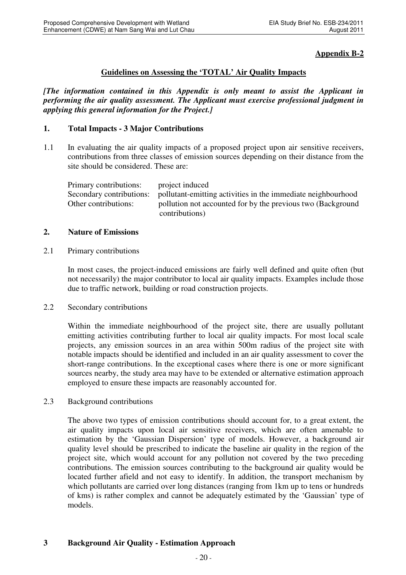### **Appendix B-2**

#### **Guidelines on Assessing the 'TOTAL' Air Quality Impacts**

*[The information contained in this Appendix is only meant to assist the Applicant in performing the air quality assessment. The Applicant must exercise professional judgment in applying this general information for the Project.]*

#### **1. Total Impacts - 3 Major Contributions**

1.1 In evaluating the air quality impacts of a proposed project upon air sensitive receivers, contributions from three classes of emission sources depending on their distance from the site should be considered. These are:

| Primary contributions:   | project induced                                              |
|--------------------------|--------------------------------------------------------------|
| Secondary contributions: | pollutant-emitting activities in the immediate neighbourhood |
| Other contributions:     | pollution not accounted for by the previous two (Background  |
|                          | contributions)                                               |

#### **2. Nature of Emissions**

#### 2.1 Primary contributions

In most cases, the project-induced emissions are fairly well defined and quite often (but not necessarily) the major contributor to local air quality impacts. Examples include those due to traffic network, building or road construction projects.

#### 2.2 Secondary contributions

Within the immediate neighbourhood of the project site, there are usually pollutant emitting activities contributing further to local air quality impacts. For most local scale projects, any emission sources in an area within 500m radius of the project site with notable impacts should be identified and included in an air quality assessment to cover the short-range contributions. In the exceptional cases where there is one or more significant sources nearby, the study area may have to be extended or alternative estimation approach employed to ensure these impacts are reasonably accounted for.

2.3 Background contributions

The above two types of emission contributions should account for, to a great extent, the air quality impacts upon local air sensitive receivers, which are often amenable to estimation by the 'Gaussian Dispersion' type of models. However, a background air quality level should be prescribed to indicate the baseline air quality in the region of the project site, which would account for any pollution not covered by the two preceding contributions. The emission sources contributing to the background air quality would be located further afield and not easy to identify. In addition, the transport mechanism by which pollutants are carried over long distances (ranging from 1km up to tens or hundreds of kms) is rather complex and cannot be adequately estimated by the 'Gaussian' type of models.

### **3 Background Air Quality - Estimation Approach**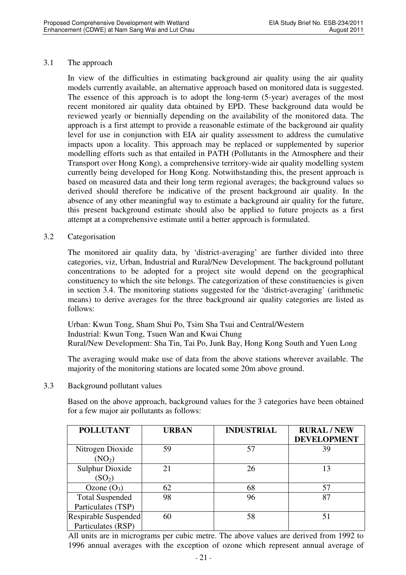#### 3.1 The approach

In view of the difficulties in estimating background air quality using the air quality models currently available, an alternative approach based on monitored data is suggested. The essence of this approach is to adopt the long-term (5-year) averages of the most recent monitored air quality data obtained by EPD. These background data would be reviewed yearly or biennially depending on the availability of the monitored data. The approach is a first attempt to provide a reasonable estimate of the background air quality level for use in conjunction with EIA air quality assessment to address the cumulative impacts upon a locality. This approach may be replaced or supplemented by superior modelling efforts such as that entailed in PATH (Pollutants in the Atmosphere and their Transport over Hong Kong), a comprehensive territory-wide air quality modelling system currently being developed for Hong Kong. Notwithstanding this, the present approach is based on measured data and their long term regional averages; the background values so derived should therefore be indicative of the present background air quality. In the absence of any other meaningful way to estimate a background air quality for the future, this present background estimate should also be applied to future projects as a first attempt at a comprehensive estimate until a better approach is formulated.

#### 3.2 Categorisation

The monitored air quality data, by 'district-averaging' are further divided into three categories, viz, Urban, Industrial and Rural/New Development. The background pollutant concentrations to be adopted for a project site would depend on the geographical constituency to which the site belongs. The categorization of these constituencies is given in section 3.4. The monitoring stations suggested for the 'district-averaging' (arithmetic means) to derive averages for the three background air quality categories are listed as follows:

Urban: Kwun Tong, Sham Shui Po, Tsim Sha Tsui and Central/Western Industrial: Kwun Tong, Tsuen Wan and Kwai Chung Rural/New Development: Sha Tin, Tai Po, Junk Bay, Hong Kong South and Yuen Long

The averaging would make use of data from the above stations wherever available. The majority of the monitoring stations are located some 20m above ground.

3.3 Background pollutant values

Based on the above approach, background values for the 3 categories have been obtained for a few major air pollutants as follows:

| <b>POLLUTANT</b>                             | <b>URBAN</b> | <b>INDUSTRIAL</b> | <b>RURAL/NEW</b><br><b>DEVELOPMENT</b> |
|----------------------------------------------|--------------|-------------------|----------------------------------------|
| Nitrogen Dioxide<br>(NO <sub>2</sub> )       | 59           | 57                | 39                                     |
| <b>Sulphur Dioxide</b><br>(SO <sub>2</sub> ) | 21           | 26                | 13                                     |
| Ozone $(O_3)$                                | 62           | 68                | 57                                     |
| <b>Total Suspended</b><br>Particulates (TSP) | 98           | 96                | 87                                     |
| Respirable Suspended<br>Particulates (RSP)   | 60           | 58                |                                        |

All units are in micrograms per cubic metre. The above values are derived from 1992 to 1996 annual averages with the exception of ozone which represent annual average of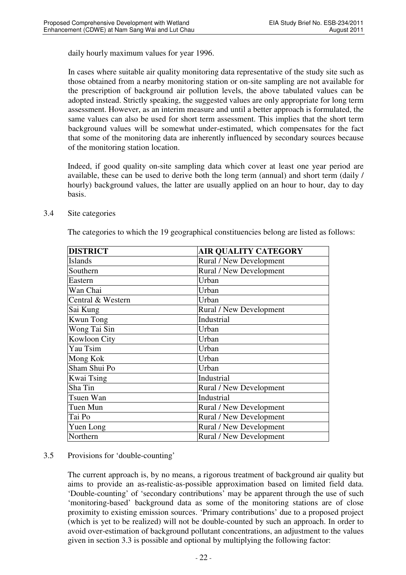daily hourly maximum values for year 1996.

In cases where suitable air quality monitoring data representative of the study site such as those obtained from a nearby monitoring station or on-site sampling are not available for the prescription of background air pollution levels, the above tabulated values can be adopted instead. Strictly speaking, the suggested values are only appropriate for long term assessment. However, as an interim measure and until a better approach is formulated, the same values can also be used for short term assessment. This implies that the short term background values will be somewhat under-estimated, which compensates for the fact that some of the monitoring data are inherently influenced by secondary sources because of the monitoring station location.

Indeed, if good quality on-site sampling data which cover at least one year period are available, these can be used to derive both the long term (annual) and short term (daily / hourly) background values, the latter are usually applied on an hour to hour, day to day basis.

| <b>DISTRICT</b>   | <b>AIR QUALITY CATEGORY</b>    |
|-------------------|--------------------------------|
| <b>Islands</b>    | Rural / New Development        |
| Southern          | Rural / New Development        |
| Eastern           | Urban                          |
| Wan Chai          | Urban                          |
| Central & Western | Urban                          |
| Sai Kung          | Rural / New Development        |
| <b>Kwun Tong</b>  | Industrial                     |
| Wong Tai Sin      | Urban                          |
| Kowloon City      | Urban                          |
| Yau Tsim          | Urban                          |
| Mong Kok          | Urban                          |
| Sham Shui Po      | Urban                          |
| Kwai Tsing        | Industrial                     |
| Sha Tin           | Rural / New Development        |
| Tsuen Wan         | Industrial                     |
| Tuen Mun          | <b>Rural / New Development</b> |
| Tai Po            | Rural / New Development        |
| Yuen Long         | Rural / New Development        |
| Northern          | Rural / New Development        |

#### 3.4 Site categories

The categories to which the 19 geographical constituencies belong are listed as follows:

### 3.5 Provisions for 'double-counting'

The current approach is, by no means, a rigorous treatment of background air quality but aims to provide an as-realistic-as-possible approximation based on limited field data. 'Double-counting' of 'secondary contributions' may be apparent through the use of such 'monitoring-based' background data as some of the monitoring stations are of close proximity to existing emission sources. 'Primary contributions' due to a proposed project (which is yet to be realized) will not be double-counted by such an approach. In order to avoid over-estimation of background pollutant concentrations, an adjustment to the values given in section 3.3 is possible and optional by multiplying the following factor: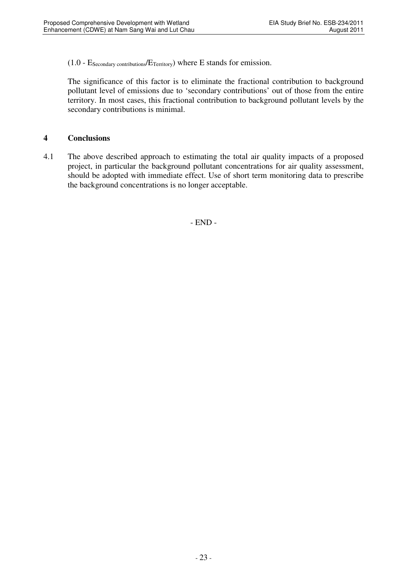$(1.0 - E_{\text{Secondary contributions}}/E_{\text{Teritory}})$  where E stands for emission.

The significance of this factor is to eliminate the fractional contribution to background pollutant level of emissions due to 'secondary contributions' out of those from the entire territory. In most cases, this fractional contribution to background pollutant levels by the secondary contributions is minimal.

#### **4 Conclusions**

4.1 The above described approach to estimating the total air quality impacts of a proposed project, in particular the background pollutant concentrations for air quality assessment, should be adopted with immediate effect. Use of short term monitoring data to prescribe the background concentrations is no longer acceptable.

- END -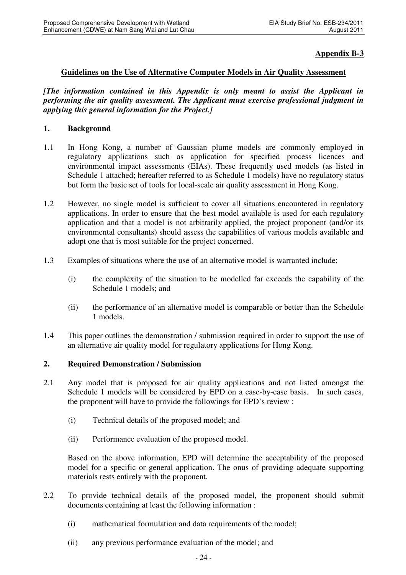### **Appendix B-3**

### **Guidelines on the Use of Alternative Computer Models in Air Quality Assessment**

*[The information contained in this Appendix is only meant to assist the Applicant in performing the air quality assessment. The Applicant must exercise professional judgment in applying this general information for the Project.]*

#### **1. Background**

- 1.1 In Hong Kong, a number of Gaussian plume models are commonly employed in regulatory applications such as application for specified process licences and environmental impact assessments (EIAs). These frequently used models (as listed in Schedule 1 attached; hereafter referred to as Schedule 1 models) have no regulatory status but form the basic set of tools for local-scale air quality assessment in Hong Kong.
- 1.2 However, no single model is sufficient to cover all situations encountered in regulatory applications. In order to ensure that the best model available is used for each regulatory application and that a model is not arbitrarily applied, the project proponent (and/or its environmental consultants) should assess the capabilities of various models available and adopt one that is most suitable for the project concerned.
- 1.3 Examples of situations where the use of an alternative model is warranted include:
	- (i) the complexity of the situation to be modelled far exceeds the capability of the Schedule 1 models; and
	- (ii) the performance of an alternative model is comparable or better than the Schedule 1 models.
- 1.4 This paper outlines the demonstration / submission required in order to support the use of an alternative air quality model for regulatory applications for Hong Kong.

#### **2. Required Demonstration / Submission**

- 2.1 Any model that is proposed for air quality applications and not listed amongst the Schedule 1 models will be considered by EPD on a case-by-case basis. In such cases, the proponent will have to provide the followings for EPD's review :
	- (i) Technical details of the proposed model; and
	- (ii) Performance evaluation of the proposed model.

Based on the above information, EPD will determine the acceptability of the proposed model for a specific or general application. The onus of providing adequate supporting materials rests entirely with the proponent.

- 2.2 To provide technical details of the proposed model, the proponent should submit documents containing at least the following information :
	- (i) mathematical formulation and data requirements of the model;
	- (ii) any previous performance evaluation of the model; and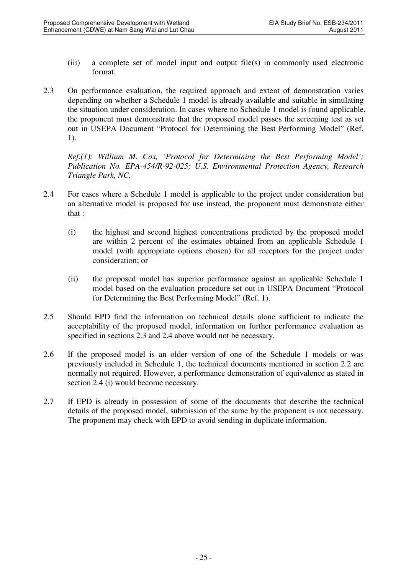- (iii) a complete set of model input and output file(s) in commonly used electronic format.
- 2.3 On performance evaluation, the required approach and extent of demonstration varies depending on whether a Schedule 1 model is already available and suitable in simulating the situation under consideration. In cases where no Schedule 1 model is found applicable, the proponent must demonstrate that the proposed model passes the screening test as set out in USEPA Document "Protocol for Determining the Best Performing Model" (Ref. 1).

*Ref.(1): William M. Cox, 'Protocol for Determining the Best Performing Model'; Publication No. EPA-454/R-92-025; U.S. Environmental Protection Agency, Research Triangle Park, NC.* 

- 2.4 For cases where a Schedule 1 model is applicable to the project under consideration but an alternative model is proposed for use instead, the proponent must demonstrate either that :
	- (i) the highest and second highest concentrations predicted by the proposed model are within 2 percent of the estimates obtained from an applicable Schedule 1 model (with appropriate options chosen) for all receptors for the project under consideration; or
	- (ii) the proposed model has superior performance against an applicable Schedule 1 model based on the evaluation procedure set out in USEPA Document "Protocol for Determining the Best Performing Model" (Ref. 1).
- 2.5 Should EPD find the information on technical details alone sufficient to indicate the acceptability of the proposed model, information on further performance evaluation as specified in sections 2.3 and 2.4 above would not be necessary.
- 2.6 If the proposed model is an older version of one of the Schedule 1 models or was previously included in Schedule 1, the technical documents mentioned in section 2.2 are normally not required. However, a performance demonstration of equivalence as stated in section 2.4 (i) would become necessary.
- 2.7 If EPD is already in possession of some of the documents that describe the technical details of the proposed model, submission of the same by the proponent is not necessary. The proponent may check with EPD to avoid sending in duplicate information.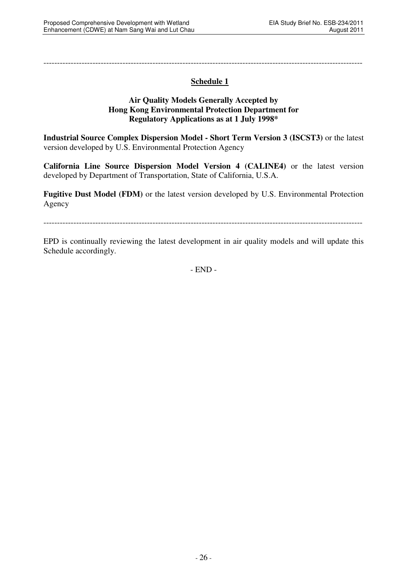---------------------------------------------------------------------------------------------------------------------

# **Schedule 1**

#### **Air Quality Models Generally Accepted by Hong Kong Environmental Protection Department for Regulatory Applications as at 1 July 1998\***

**Industrial Source Complex Dispersion Model - Short Term Version 3 (ISCST3)** or the latest version developed by U.S. Environmental Protection Agency

**California Line Source Dispersion Model Version 4 (CALINE4)** or the latest version developed by Department of Transportation, State of California, U.S.A.

**Fugitive Dust Model (FDM)** or the latest version developed by U.S. Environmental Protection Agency

---------------------------------------------------------------------------------------------------------------------

EPD is continually reviewing the latest development in air quality models and will update this Schedule accordingly.

- END -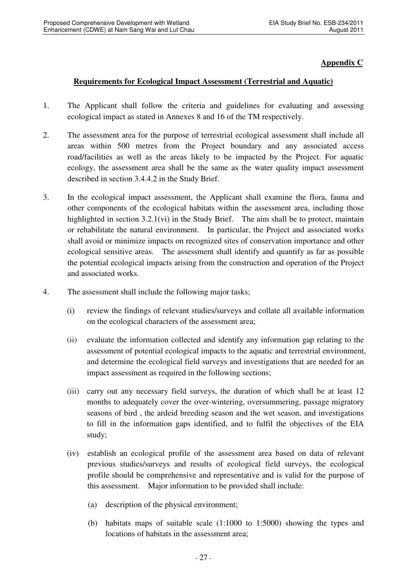### **Appendix C**

### **Requirements for Ecological Impact Assessment (Terrestrial and Aquatic)**

- 1. The Applicant shall follow the criteria and guidelines for evaluating and assessing ecological impact as stated in Annexes 8 and 16 of the TM respectively.
- 2. The assessment area for the purpose of terrestrial ecological assessment shall include all areas within 500 metres from the Project boundary and any associated access road/facilities as well as the areas likely to be impacted by the Project. For aquatic ecology, the assessment area shall be the same as the water quality impact assessment described in section 3.4.4.2 in the Study Brief.
- 3. In the ecological impact assessment, the Applicant shall examine the flora, fauna and other components of the ecological habitats within the assessment area, including those highlighted in section 3.2.1(vi) in the Study Brief. The aim shall be to protect, maintain or rehabilitate the natural environment. In particular, the Project and associated works shall avoid or minimize impacts on recognized sites of conservation importance and other ecological sensitive areas. The assessment shall identify and quantify as far as possible the potential ecological impacts arising from the construction and operation of the Project and associated works.
- 4. The assessment shall include the following major tasks;
	- (i) review the findings of relevant studies/surveys and collate all available information on the ecological characters of the assessment area;
	- (ii) evaluate the information collected and identify any information gap relating to the assessment of potential ecological impacts to the aquatic and terrestrial environment, and determine the ecological field surveys and investigations that are needed for an impact assessment as required in the following sections;
	- (iii) carry out any necessary field surveys, the duration of which shall be at least 12 months to adequately cover the over-wintering, oversummering, passage migratory seasons of bird , the ardeid breeding season and the wet season, and investigations to fill in the information gaps identified, and to fulfil the objectives of the EIA study;
	- (iv) establish an ecological profile of the assessment area based on data of relevant previous studies/surveys and results of ecological field surveys, the ecological profile should be comprehensive and representative and is valid for the purpose of this assessment. Major information to be provided shall include:
		- (a) description of the physical environment;
		- (b) habitats maps of suitable scale (1:1000 to 1:5000) showing the types and locations of habitats in the assessment area;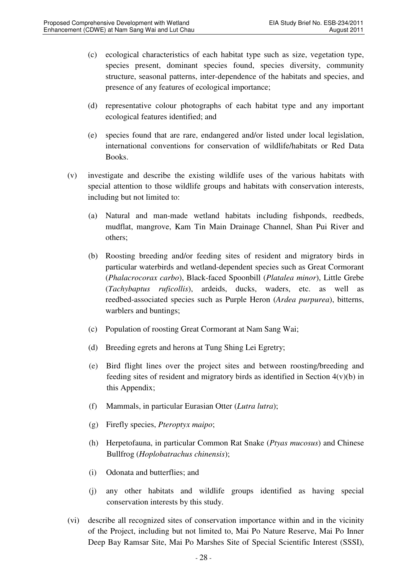- (c) ecological characteristics of each habitat type such as size, vegetation type, species present, dominant species found, species diversity, community structure, seasonal patterns, inter-dependence of the habitats and species, and presence of any features of ecological importance;
- (d) representative colour photographs of each habitat type and any important ecological features identified; and
- (e) species found that are rare, endangered and/or listed under local legislation, international conventions for conservation of wildlife/habitats or Red Data Books.
- (v) investigate and describe the existing wildlife uses of the various habitats with special attention to those wildlife groups and habitats with conservation interests, including but not limited to:
	- (a) Natural and man-made wetland habitats including fishponds, reedbeds, mudflat, mangrove, Kam Tin Main Drainage Channel, Shan Pui River and others;
	- (b) Roosting breeding and/or feeding sites of resident and migratory birds in particular waterbirds and wetland-dependent species such as Great Cormorant (*Phalacrocorax carbo*), Black-faced Spoonbill (*Platalea minor*), Little Grebe (*Tachybaptus ruficollis*), ardeids, ducks, waders, etc. as well as reedbed-associated species such as Purple Heron (*Ardea purpurea*), bitterns, warblers and buntings;
	- (c) Population of roosting Great Cormorant at Nam Sang Wai;
	- (d) Breeding egrets and herons at Tung Shing Lei Egretry;
	- (e) Bird flight lines over the project sites and between roosting/breeding and feeding sites of resident and migratory birds as identified in Section  $4(v)(b)$  in this Appendix;
	- (f) Mammals, in particular Eurasian Otter (*Lutra lutra*);
	- (g) Firefly species, *Pteroptyx maipo*;
	- (h) Herpetofauna, in particular Common Rat Snake (*Ptyas mucosus*) and Chinese Bullfrog (*Hoplobatrachus chinensis*);
	- (i) Odonata and butterflies; and
	- (j) any other habitats and wildlife groups identified as having special conservation interests by this study.
- (vi) describe all recognized sites of conservation importance within and in the vicinity of the Project, including but not limited to, Mai Po Nature Reserve, Mai Po Inner Deep Bay Ramsar Site, Mai Po Marshes Site of Special Scientific Interest (SSSI),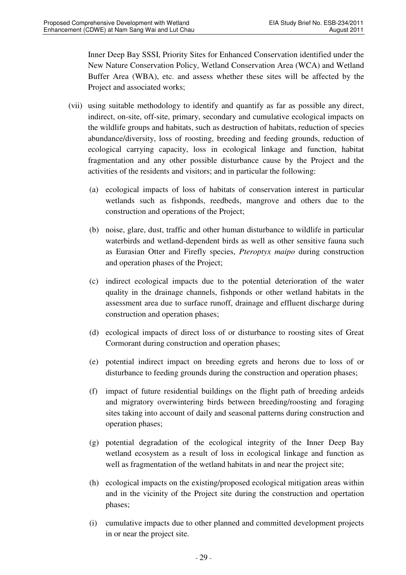Inner Deep Bay SSSI, Priority Sites for Enhanced Conservation identified under the New Nature Conservation Policy, Wetland Conservation Area (WCA) and Wetland Buffer Area (WBA), etc. and assess whether these sites will be affected by the Project and associated works;

- (vii) using suitable methodology to identify and quantify as far as possible any direct, indirect, on-site, off-site, primary, secondary and cumulative ecological impacts on the wildlife groups and habitats, such as destruction of habitats, reduction of species abundance/diversity, loss of roosting, breeding and feeding grounds, reduction of ecological carrying capacity, loss in ecological linkage and function, habitat fragmentation and any other possible disturbance cause by the Project and the activities of the residents and visitors; and in particular the following:
	- (a) ecological impacts of loss of habitats of conservation interest in particular wetlands such as fishponds, reedbeds, mangrove and others due to the construction and operations of the Project;
	- (b) noise, glare, dust, traffic and other human disturbance to wildlife in particular waterbirds and wetland-dependent birds as well as other sensitive fauna such as Eurasian Otter and Firefly species, *Pteroptyx maipo* during construction and operation phases of the Project;
	- (c) indirect ecological impacts due to the potential deterioration of the water quality in the drainage channels, fishponds or other wetland habitats in the assessment area due to surface runoff, drainage and effluent discharge during construction and operation phases;
	- (d) ecological impacts of direct loss of or disturbance to roosting sites of Great Cormorant during construction and operation phases;
	- (e) potential indirect impact on breeding egrets and herons due to loss of or disturbance to feeding grounds during the construction and operation phases;
	- (f) impact of future residential buildings on the flight path of breeding ardeids and migratory overwintering birds between breeding/roosting and foraging sites taking into account of daily and seasonal patterns during construction and operation phases;
	- (g) potential degradation of the ecological integrity of the Inner Deep Bay wetland ecosystem as a result of loss in ecological linkage and function as well as fragmentation of the wetland habitats in and near the project site;
	- (h) ecological impacts on the existing/proposed ecological mitigation areas within and in the vicinity of the Project site during the construction and opertation phases;
	- (i) cumulative impacts due to other planned and committed development projects in or near the project site.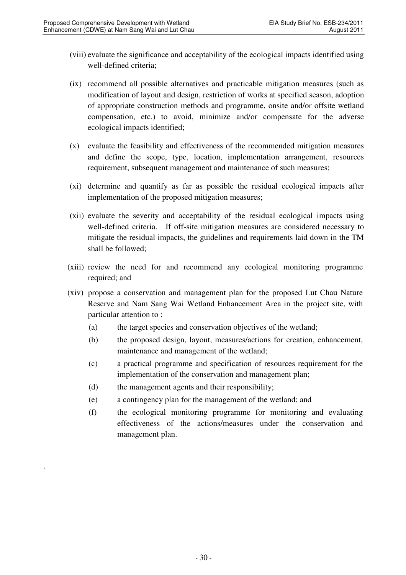- (viii) evaluate the significance and acceptability of the ecological impacts identified using well-defined criteria;
- (ix) recommend all possible alternatives and practicable mitigation measures (such as modification of layout and design, restriction of works at specified season, adoption of appropriate construction methods and programme, onsite and/or offsite wetland compensation, etc.) to avoid, minimize and/or compensate for the adverse ecological impacts identified;
- (x) evaluate the feasibility and effectiveness of the recommended mitigation measures and define the scope, type, location, implementation arrangement, resources requirement, subsequent management and maintenance of such measures;
- (xi) determine and quantify as far as possible the residual ecological impacts after implementation of the proposed mitigation measures;
- (xii) evaluate the severity and acceptability of the residual ecological impacts using well-defined criteria. If off-site mitigation measures are considered necessary to mitigate the residual impacts, the guidelines and requirements laid down in the TM shall be followed;
- (xiii) review the need for and recommend any ecological monitoring programme required; and
- (xiv) propose a conservation and management plan for the proposed Lut Chau Nature Reserve and Nam Sang Wai Wetland Enhancement Area in the project site, with particular attention to :
	- (a) the target species and conservation objectives of the wetland;
	- (b) the proposed design, layout, measures/actions for creation, enhancement, maintenance and management of the wetland;
	- (c) a practical programme and specification of resources requirement for the implementation of the conservation and management plan;
	- (d) the management agents and their responsibility;

.

- (e) a contingency plan for the management of the wetland; and
- (f) the ecological monitoring programme for monitoring and evaluating effectiveness of the actions/measures under the conservation and management plan.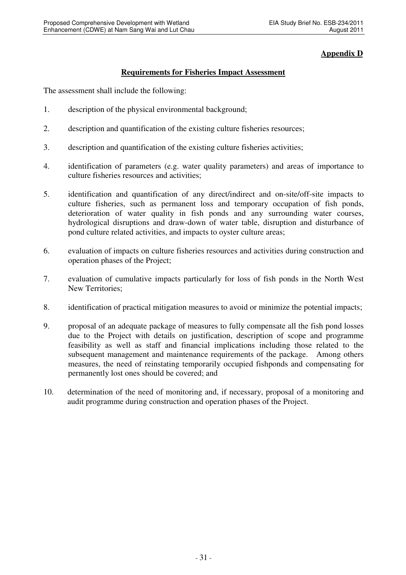### **Appendix D**

### **Requirements for Fisheries Impact Assessment**

The assessment shall include the following:

- 1. description of the physical environmental background;
- 2. description and quantification of the existing culture fisheries resources;
- 3. description and quantification of the existing culture fisheries activities;
- 4. identification of parameters (e.g. water quality parameters) and areas of importance to culture fisheries resources and activities;
- 5. identification and quantification of any direct/indirect and on-site/off-site impacts to culture fisheries, such as permanent loss and temporary occupation of fish ponds, deterioration of water quality in fish ponds and any surrounding water courses, hydrological disruptions and draw-down of water table, disruption and disturbance of pond culture related activities, and impacts to oyster culture areas;
- 6. evaluation of impacts on culture fisheries resources and activities during construction and operation phases of the Project;
- 7. evaluation of cumulative impacts particularly for loss of fish ponds in the North West New Territories;
- 8. identification of practical mitigation measures to avoid or minimize the potential impacts;
- 9. proposal of an adequate package of measures to fully compensate all the fish pond losses due to the Project with details on justification, description of scope and programme feasibility as well as staff and financial implications including those related to the subsequent management and maintenance requirements of the package. Among others measures, the need of reinstating temporarily occupied fishponds and compensating for permanently lost ones should be covered; and
- 10. determination of the need of monitoring and, if necessary, proposal of a monitoring and audit programme during construction and operation phases of the Project.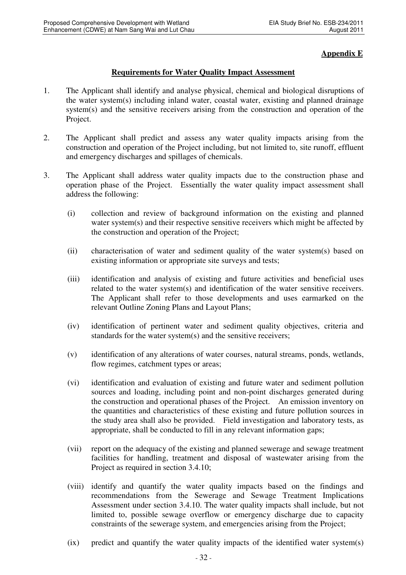### **Appendix E**

### **Requirements for Water Quality Impact Assessment**

- 1. The Applicant shall identify and analyse physical, chemical and biological disruptions of the water system(s) including inland water, coastal water, existing and planned drainage system(s) and the sensitive receivers arising from the construction and operation of the Project.
- 2. The Applicant shall predict and assess any water quality impacts arising from the construction and operation of the Project including, but not limited to, site runoff, effluent and emergency discharges and spillages of chemicals.
- 3. The Applicant shall address water quality impacts due to the construction phase and operation phase of the Project. Essentially the water quality impact assessment shall address the following:
	- (i) collection and review of background information on the existing and planned water system(s) and their respective sensitive receivers which might be affected by the construction and operation of the Project;
	- (ii) characterisation of water and sediment quality of the water system(s) based on existing information or appropriate site surveys and tests;
	- (iii) identification and analysis of existing and future activities and beneficial uses related to the water system(s) and identification of the water sensitive receivers. The Applicant shall refer to those developments and uses earmarked on the relevant Outline Zoning Plans and Layout Plans;
	- (iv) identification of pertinent water and sediment quality objectives, criteria and standards for the water system(s) and the sensitive receivers;
	- (v) identification of any alterations of water courses, natural streams, ponds, wetlands, flow regimes, catchment types or areas;
	- (vi) identification and evaluation of existing and future water and sediment pollution sources and loading, including point and non-point discharges generated during the construction and operational phases of the Project. An emission inventory on the quantities and characteristics of these existing and future pollution sources in the study area shall also be provided. Field investigation and laboratory tests, as appropriate, shall be conducted to fill in any relevant information gaps;
	- (vii) report on the adequacy of the existing and planned sewerage and sewage treatment facilities for handling, treatment and disposal of wastewater arising from the Project as required in section 3.4.10;
	- (viii) identify and quantify the water quality impacts based on the findings and recommendations from the Sewerage and Sewage Treatment Implications Assessment under section 3.4.10. The water quality impacts shall include, but not limited to, possible sewage overflow or emergency discharge due to capacity constraints of the sewerage system, and emergencies arising from the Project;
	- (ix) predict and quantify the water quality impacts of the identified water system(s)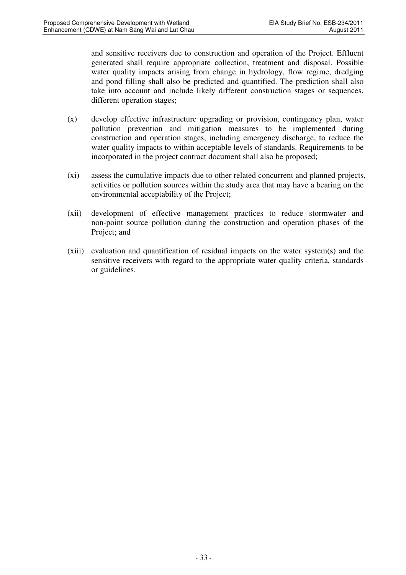and sensitive receivers due to construction and operation of the Project. Effluent generated shall require appropriate collection, treatment and disposal. Possible water quality impacts arising from change in hydrology, flow regime, dredging and pond filling shall also be predicted and quantified. The prediction shall also take into account and include likely different construction stages or sequences, different operation stages;

- (x) develop effective infrastructure upgrading or provision, contingency plan, water pollution prevention and mitigation measures to be implemented during construction and operation stages, including emergency discharge, to reduce the water quality impacts to within acceptable levels of standards. Requirements to be incorporated in the project contract document shall also be proposed;
- (xi) assess the cumulative impacts due to other related concurrent and planned projects, activities or pollution sources within the study area that may have a bearing on the environmental acceptability of the Project;
- (xii) development of effective management practices to reduce stormwater and non-point source pollution during the construction and operation phases of the Project; and
- (xiii) evaluation and quantification of residual impacts on the water system(s) and the sensitive receivers with regard to the appropriate water quality criteria, standards or guidelines.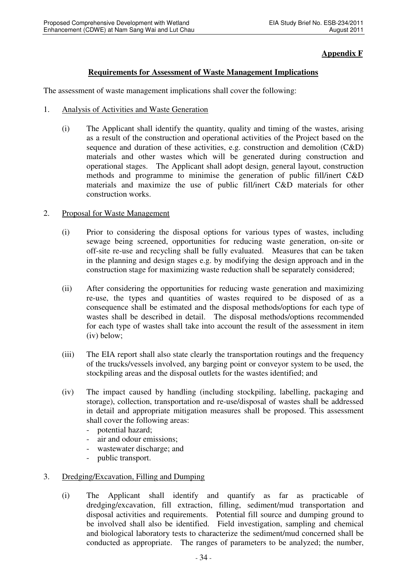### **Appendix F**

### **Requirements for Assessment of Waste Management Implications**

The assessment of waste management implications shall cover the following:

- 1. Analysis of Activities and Waste Generation
	- (i) The Applicant shall identify the quantity, quality and timing of the wastes, arising as a result of the construction and operational activities of the Project based on the sequence and duration of these activities, e.g. construction and demolition (C&D) materials and other wastes which will be generated during construction and operational stages. The Applicant shall adopt design, general layout, construction methods and programme to minimise the generation of public fill/inert C&D materials and maximize the use of public fill/inert C&D materials for other construction works.

#### 2. Proposal for Waste Management

- (i) Prior to considering the disposal options for various types of wastes, including sewage being screened, opportunities for reducing waste generation, on-site or off-site re-use and recycling shall be fully evaluated. Measures that can be taken in the planning and design stages e.g. by modifying the design approach and in the construction stage for maximizing waste reduction shall be separately considered;
- (ii) After considering the opportunities for reducing waste generation and maximizing re-use, the types and quantities of wastes required to be disposed of as a consequence shall be estimated and the disposal methods/options for each type of wastes shall be described in detail. The disposal methods/options recommended for each type of wastes shall take into account the result of the assessment in item (iv) below;
- (iii) The EIA report shall also state clearly the transportation routings and the frequency of the trucks/vessels involved, any barging point or conveyor system to be used, the stockpiling areas and the disposal outlets for the wastes identified; and
- (iv) The impact caused by handling (including stockpiling, labelling, packaging and storage), collection, transportation and re-use/disposal of wastes shall be addressed in detail and appropriate mitigation measures shall be proposed. This assessment shall cover the following areas:
	- potential hazard;
	- air and odour emissions;
	- wastewater discharge; and
	- public transport.

### 3. Dredging/Excavation, Filling and Dumping

(i) The Applicant shall identify and quantify as far as practicable of dredging/excavation, fill extraction, filling, sediment/mud transportation and disposal activities and requirements. Potential fill source and dumping ground to be involved shall also be identified. Field investigation, sampling and chemical and biological laboratory tests to characterize the sediment/mud concerned shall be conducted as appropriate. The ranges of parameters to be analyzed; the number,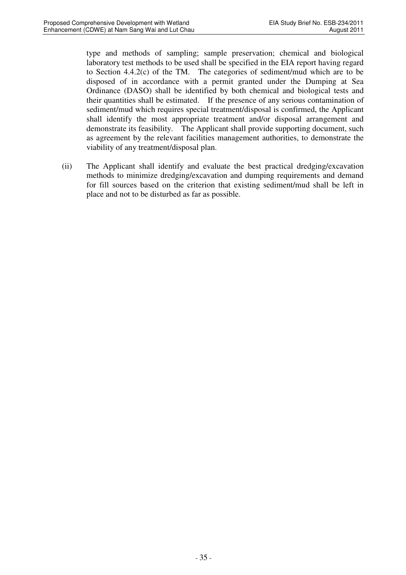type and methods of sampling; sample preservation; chemical and biological laboratory test methods to be used shall be specified in the EIA report having regard to Section 4.4.2(c) of the TM. The categories of sediment/mud which are to be disposed of in accordance with a permit granted under the Dumping at Sea Ordinance (DASO) shall be identified by both chemical and biological tests and their quantities shall be estimated. If the presence of any serious contamination of sediment/mud which requires special treatment/disposal is confirmed, the Applicant shall identify the most appropriate treatment and/or disposal arrangement and demonstrate its feasibility. The Applicant shall provide supporting document, such as agreement by the relevant facilities management authorities, to demonstrate the viability of any treatment/disposal plan.

(ii) The Applicant shall identify and evaluate the best practical dredging/excavation methods to minimize dredging/excavation and dumping requirements and demand for fill sources based on the criterion that existing sediment/mud shall be left in place and not to be disturbed as far as possible.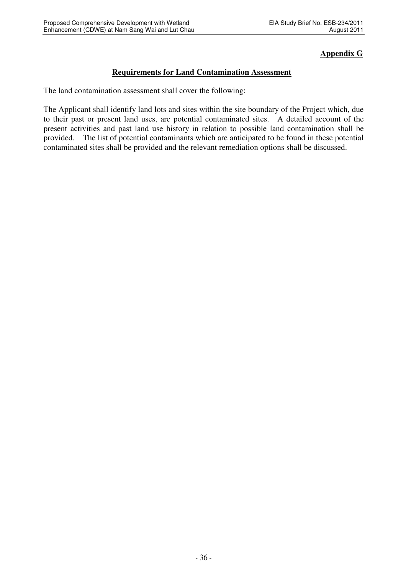### **Appendix G**

### **Requirements for Land Contamination Assessment**

The land contamination assessment shall cover the following:

The Applicant shall identify land lots and sites within the site boundary of the Project which, due to their past or present land uses, are potential contaminated sites. A detailed account of the present activities and past land use history in relation to possible land contamination shall be provided. The list of potential contaminants which are anticipated to be found in these potential contaminated sites shall be provided and the relevant remediation options shall be discussed.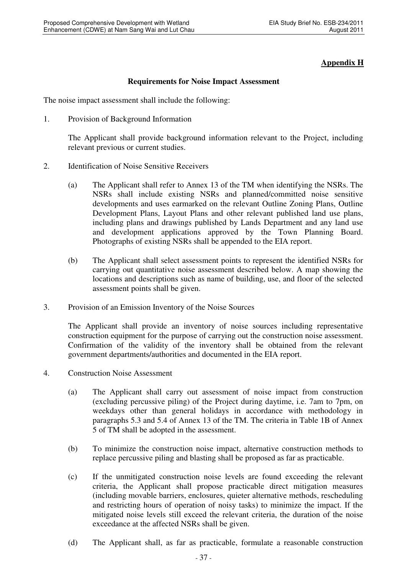### **Appendix H**

### **Requirements for Noise Impact Assessment**

The noise impact assessment shall include the following:

1. Provision of Background Information

The Applicant shall provide background information relevant to the Project, including relevant previous or current studies.

- 2. Identification of Noise Sensitive Receivers
	- (a) The Applicant shall refer to Annex 13 of the TM when identifying the NSRs. The NSRs shall include existing NSRs and planned/committed noise sensitive developments and uses earmarked on the relevant Outline Zoning Plans, Outline Development Plans, Layout Plans and other relevant published land use plans, including plans and drawings published by Lands Department and any land use and development applications approved by the Town Planning Board. Photographs of existing NSRs shall be appended to the EIA report.
	- (b) The Applicant shall select assessment points to represent the identified NSRs for carrying out quantitative noise assessment described below. A map showing the locations and descriptions such as name of building, use, and floor of the selected assessment points shall be given.
- 3. Provision of an Emission Inventory of the Noise Sources

The Applicant shall provide an inventory of noise sources including representative construction equipment for the purpose of carrying out the construction noise assessment. Confirmation of the validity of the inventory shall be obtained from the relevant government departments/authorities and documented in the EIA report.

- 4. Construction Noise Assessment
	- (a) The Applicant shall carry out assessment of noise impact from construction (excluding percussive piling) of the Project during daytime, i.e. 7am to 7pm, on weekdays other than general holidays in accordance with methodology in paragraphs 5.3 and 5.4 of Annex 13 of the TM. The criteria in Table 1B of Annex 5 of TM shall be adopted in the assessment.
	- (b) To minimize the construction noise impact, alternative construction methods to replace percussive piling and blasting shall be proposed as far as practicable.
	- (c) If the unmitigated construction noise levels are found exceeding the relevant criteria, the Applicant shall propose practicable direct mitigation measures (including movable barriers, enclosures, quieter alternative methods, rescheduling and restricting hours of operation of noisy tasks) to minimize the impact. If the mitigated noise levels still exceed the relevant criteria, the duration of the noise exceedance at the affected NSRs shall be given.
	- (d) The Applicant shall, as far as practicable, formulate a reasonable construction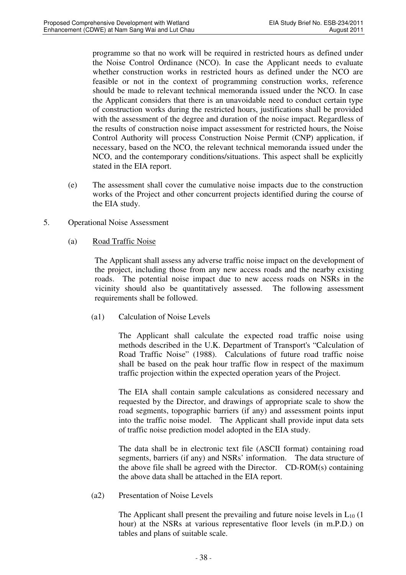programme so that no work will be required in restricted hours as defined under the Noise Control Ordinance (NCO). In case the Applicant needs to evaluate whether construction works in restricted hours as defined under the NCO are feasible or not in the context of programming construction works, reference should be made to relevant technical memoranda issued under the NCO. In case the Applicant considers that there is an unavoidable need to conduct certain type of construction works during the restricted hours, justifications shall be provided with the assessment of the degree and duration of the noise impact. Regardless of the results of construction noise impact assessment for restricted hours, the Noise Control Authority will process Construction Noise Permit (CNP) application, if necessary, based on the NCO, the relevant technical memoranda issued under the NCO, and the contemporary conditions/situations. This aspect shall be explicitly stated in the EIA report.

- (e) The assessment shall cover the cumulative noise impacts due to the construction works of the Project and other concurrent projects identified during the course of the EIA study.
- 5. Operational Noise Assessment
	- (a) Road Traffic Noise

 The Applicant shall assess any adverse traffic noise impact on the development of the project, including those from any new access roads and the nearby existing roads. The potential noise impact due to new access roads on NSRs in the vicinity should also be quantitatively assessed. The following assessment requirements shall be followed.

(a1) Calculation of Noise Levels

 The Applicant shall calculate the expected road traffic noise using methods described in the U.K. Department of Transport's "Calculation of Road Traffic Noise" (1988). Calculations of future road traffic noise shall be based on the peak hour traffic flow in respect of the maximum traffic projection within the expected operation years of the Project.

 The EIA shall contain sample calculations as considered necessary and requested by the Director, and drawings of appropriate scale to show the road segments, topographic barriers (if any) and assessment points input into the traffic noise model. The Applicant shall provide input data sets of traffic noise prediction model adopted in the EIA study.

 The data shall be in electronic text file (ASCII format) containing road segments, barriers (if any) and NSRs' information. The data structure of the above file shall be agreed with the Director. CD-ROM(s) containing the above data shall be attached in the EIA report.

(a2) Presentation of Noise Levels

The Applicant shall present the prevailing and future noise levels in  $L_{10}$  (1) hour) at the NSRs at various representative floor levels (in m.P.D.) on tables and plans of suitable scale.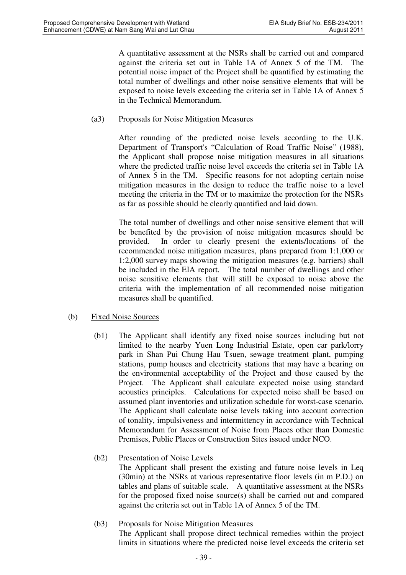A quantitative assessment at the NSRs shall be carried out and compared against the criteria set out in Table 1A of Annex 5 of the TM. The potential noise impact of the Project shall be quantified by estimating the total number of dwellings and other noise sensitive elements that will be exposed to noise levels exceeding the criteria set in Table 1A of Annex 5 in the Technical Memorandum.

(a3) Proposals for Noise Mitigation Measures

 After rounding of the predicted noise levels according to the U.K. Department of Transport's "Calculation of Road Traffic Noise" (1988), the Applicant shall propose noise mitigation measures in all situations where the predicted traffic noise level exceeds the criteria set in Table 1A of Annex 5 in the TM. Specific reasons for not adopting certain noise mitigation measures in the design to reduce the traffic noise to a level meeting the criteria in the TM or to maximize the protection for the NSRs as far as possible should be clearly quantified and laid down.

 The total number of dwellings and other noise sensitive element that will be benefited by the provision of noise mitigation measures should be provided. In order to clearly present the extents/locations of the recommended noise mitigation measures, plans prepared from 1:1,000 or 1:2,000 survey maps showing the mitigation measures (e.g. barriers) shall be included in the EIA report. The total number of dwellings and other noise sensitive elements that will still be exposed to noise above the criteria with the implementation of all recommended noise mitigation measures shall be quantified.

### (b) Fixed Noise Sources

(b1) The Applicant shall identify any fixed noise sources including but not limited to the nearby Yuen Long Industrial Estate, open car park/lorry park in Shan Pui Chung Hau Tsuen, sewage treatment plant, pumping stations, pump houses and electricity stations that may have a bearing on the environmental acceptability of the Project and those caused by the Project. The Applicant shall calculate expected noise using standard acoustics principles. Calculations for expected noise shall be based on assumed plant inventories and utilization schedule for worst-case scenario. The Applicant shall calculate noise levels taking into account correction of tonality, impulsiveness and intermittency in accordance with Technical Memorandum for Assessment of Noise from Places other than Domestic Premises, Public Places or Construction Sites issued under NCO.

#### (b2) Presentation of Noise Levels The Applicant shall present the existing and future noise levels in Leq (30min) at the NSRs at various representative floor levels (in m P.D.) on tables and plans of suitable scale. A quantitative assessment at the NSRs for the proposed fixed noise source(s) shall be carried out and compared against the criteria set out in Table 1A of Annex 5 of the TM.

(b3) Proposals for Noise Mitigation Measures

 The Applicant shall propose direct technical remedies within the project limits in situations where the predicted noise level exceeds the criteria set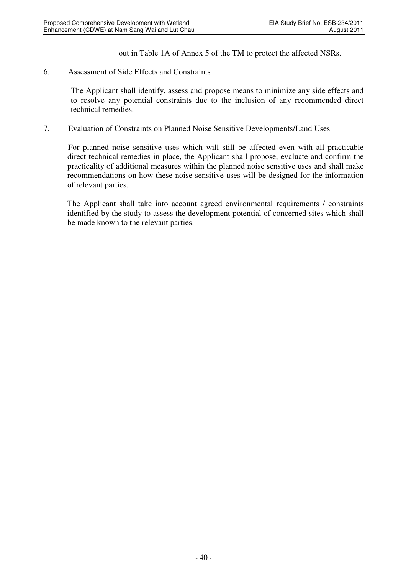out in Table 1A of Annex 5 of the TM to protect the affected NSRs.

#### 6. Assessment of Side Effects and Constraints

The Applicant shall identify, assess and propose means to minimize any side effects and to resolve any potential constraints due to the inclusion of any recommended direct technical remedies.

7. Evaluation of Constraints on Planned Noise Sensitive Developments/Land Uses

For planned noise sensitive uses which will still be affected even with all practicable direct technical remedies in place, the Applicant shall propose, evaluate and confirm the practicality of additional measures within the planned noise sensitive uses and shall make recommendations on how these noise sensitive uses will be designed for the information of relevant parties.

The Applicant shall take into account agreed environmental requirements / constraints identified by the study to assess the development potential of concerned sites which shall be made known to the relevant parties.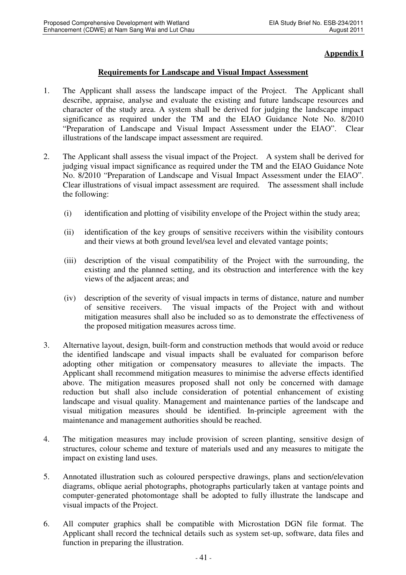### **Appendix I**

#### **Requirements for Landscape and Visual Impact Assessment**

- 1. The Applicant shall assess the landscape impact of the Project. The Applicant shall describe, appraise, analyse and evaluate the existing and future landscape resources and character of the study area. A system shall be derived for judging the landscape impact significance as required under the TM and the EIAO Guidance Note No. 8/2010 "Preparation of Landscape and Visual Impact Assessment under the EIAO". Clear illustrations of the landscape impact assessment are required.
- 2. The Applicant shall assess the visual impact of the Project. A system shall be derived for judging visual impact significance as required under the TM and the EIAO Guidance Note No. 8/2010 "Preparation of Landscape and Visual Impact Assessment under the EIAO". Clear illustrations of visual impact assessment are required. The assessment shall include the following:
	- (i) identification and plotting of visibility envelope of the Project within the study area;
	- (ii) identification of the key groups of sensitive receivers within the visibility contours and their views at both ground level/sea level and elevated vantage points;
	- (iii) description of the visual compatibility of the Project with the surrounding, the existing and the planned setting, and its obstruction and interference with the key views of the adjacent areas; and
	- (iv) description of the severity of visual impacts in terms of distance, nature and number of sensitive receivers. The visual impacts of the Project with and without mitigation measures shall also be included so as to demonstrate the effectiveness of the proposed mitigation measures across time.
- 3. Alternative layout, design, built-form and construction methods that would avoid or reduce the identified landscape and visual impacts shall be evaluated for comparison before adopting other mitigation or compensatory measures to alleviate the impacts. The Applicant shall recommend mitigation measures to minimise the adverse effects identified above. The mitigation measures proposed shall not only be concerned with damage reduction but shall also include consideration of potential enhancement of existing landscape and visual quality. Management and maintenance parties of the landscape and visual mitigation measures should be identified. In-principle agreement with the maintenance and management authorities should be reached.
- 4. The mitigation measures may include provision of screen planting, sensitive design of structures, colour scheme and texture of materials used and any measures to mitigate the impact on existing land uses.
- 5. Annotated illustration such as coloured perspective drawings, plans and section/elevation diagrams, oblique aerial photographs, photographs particularly taken at vantage points and computer-generated photomontage shall be adopted to fully illustrate the landscape and visual impacts of the Project.
- 6. All computer graphics shall be compatible with Microstation DGN file format. The Applicant shall record the technical details such as system set-up, software, data files and function in preparing the illustration.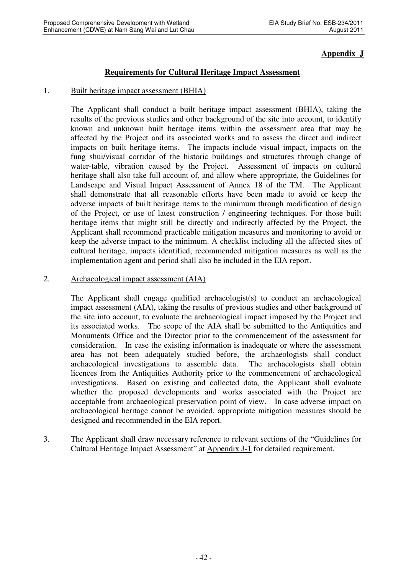### **Appendix J**

### **Requirements for Cultural Heritage Impact Assessment**

#### 1. Built heritage impact assessment (BHIA)

The Applicant shall conduct a built heritage impact assessment (BHIA), taking the results of the previous studies and other background of the site into account, to identify known and unknown built heritage items within the assessment area that may be affected by the Project and its associated works and to assess the direct and indirect impacts on built heritage items. The impacts include visual impact, impacts on the fung shui/visual corridor of the historic buildings and structures through change of water-table, vibration caused by the Project. Assessment of impacts on cultural heritage shall also take full account of, and allow where appropriate, the Guidelines for Landscape and Visual Impact Assessment of Annex 18 of the TM. The Applicant shall demonstrate that all reasonable efforts have been made to avoid or keep the adverse impacts of built heritage items to the minimum through modification of design of the Project, or use of latest construction / engineering techniques. For those built heritage items that might still be directly and indirectly affected by the Project, the Applicant shall recommend practicable mitigation measures and monitoring to avoid or keep the adverse impact to the minimum. A checklist including all the affected sites of cultural heritage, impacts identified, recommended mitigation measures as well as the implementation agent and period shall also be included in the EIA report.

#### 2. Archaeological impact assessment (AIA)

The Applicant shall engage qualified archaeologist(s) to conduct an archaeological impact assessment (AIA), taking the results of previous studies and other background of the site into account, to evaluate the archaeological impact imposed by the Project and its associated works. The scope of the AIA shall be submitted to the Antiquities and Monuments Office and the Director prior to the commencement of the assessment for consideration. In case the existing information is inadequate or where the assessment area has not been adequately studied before, the archaeologists shall conduct archaeological investigations to assemble data. The archaeologists shall obtain licences from the Antiquities Authority prior to the commencement of archaeological investigations. Based on existing and collected data, the Applicant shall evaluate whether the proposed developments and works associated with the Project are acceptable from archaeological preservation point of view. In case adverse impact on archaeological heritage cannot be avoided, appropriate mitigation measures should be designed and recommended in the EIA report.

3. The Applicant shall draw necessary reference to relevant sections of the "Guidelines for Cultural Heritage Impact Assessment" at Appendix J-1 for detailed requirement.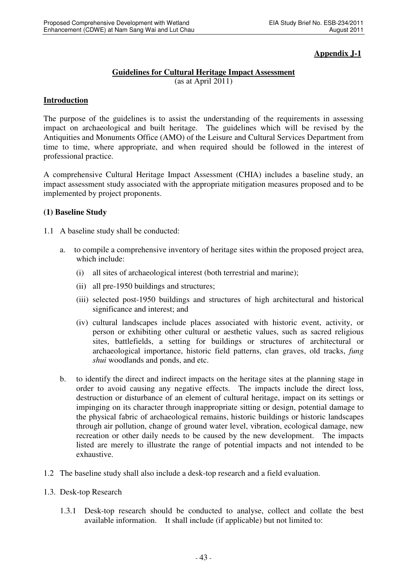### **Appendix J-1**

### **Guidelines for Cultural Heritage Impact Assessment**

(as at April 2011)

#### **Introduction**

The purpose of the guidelines is to assist the understanding of the requirements in assessing impact on archaeological and built heritage. The guidelines which will be revised by the Antiquities and Monuments Office (AMO) of the Leisure and Cultural Services Department from time to time, where appropriate, and when required should be followed in the interest of professional practice.

A comprehensive Cultural Heritage Impact Assessment (CHIA) includes a baseline study, an impact assessment study associated with the appropriate mitigation measures proposed and to be implemented by project proponents.

#### **(1) Baseline Study**

- 1.1 A baseline study shall be conducted:
	- a. to compile a comprehensive inventory of heritage sites within the proposed project area, which include:
		- (i) all sites of archaeological interest (both terrestrial and marine);
		- (ii) all pre-1950 buildings and structures;
		- (iii) selected post-1950 buildings and structures of high architectural and historical significance and interest; and
		- (iv) cultural landscapes include places associated with historic event, activity, or person or exhibiting other cultural or aesthetic values, such as sacred religious sites, battlefields, a setting for buildings or structures of architectural or archaeological importance, historic field patterns, clan graves, old tracks, *fung shui* woodlands and ponds, and etc.
	- b. to identify the direct and indirect impacts on the heritage sites at the planning stage in order to avoid causing any negative effects. The impacts include the direct loss, destruction or disturbance of an element of cultural heritage, impact on its settings or impinging on its character through inappropriate sitting or design, potential damage to the physical fabric of archaeological remains, historic buildings or historic landscapes through air pollution, change of ground water level, vibration, ecological damage, new recreation or other daily needs to be caused by the new development. The impacts listed are merely to illustrate the range of potential impacts and not intended to be exhaustive.
- 1.2 The baseline study shall also include a desk-top research and a field evaluation.
- 1.3. Desk-top Research
	- 1.3.1 Desk-top research should be conducted to analyse, collect and collate the best available information. It shall include (if applicable) but not limited to: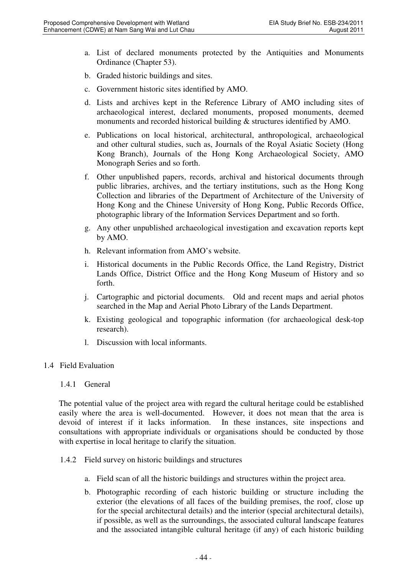- a. List of declared monuments protected by the Antiquities and Monuments Ordinance (Chapter 53).
- b. Graded historic buildings and sites.
- c. Government historic sites identified by AMO.
- d. Lists and archives kept in the Reference Library of AMO including sites of archaeological interest, declared monuments, proposed monuments, deemed monuments and recorded historical building & structures identified by AMO.
- e. Publications on local historical, architectural, anthropological, archaeological and other cultural studies, such as, Journals of the Royal Asiatic Society (Hong Kong Branch), Journals of the Hong Kong Archaeological Society, AMO Monograph Series and so forth.
- f. Other unpublished papers, records, archival and historical documents through public libraries, archives, and the tertiary institutions, such as the Hong Kong Collection and libraries of the Department of Architecture of the University of Hong Kong and the Chinese University of Hong Kong, Public Records Office, photographic library of the Information Services Department and so forth.
- g. Any other unpublished archaeological investigation and excavation reports kept by AMO.
- h. Relevant information from AMO's website.
- i. Historical documents in the Public Records Office, the Land Registry, District Lands Office, District Office and the Hong Kong Museum of History and so forth.
- j. Cartographic and pictorial documents. Old and recent maps and aerial photos searched in the Map and Aerial Photo Library of the Lands Department.
- k. Existing geological and topographic information (for archaeological desk-top research).
- l. Discussion with local informants.

### 1.4 Field Evaluation

#### 1.4.1 General

The potential value of the project area with regard the cultural heritage could be established easily where the area is well-documented. However, it does not mean that the area is devoid of interest if it lacks information. In these instances, site inspections and consultations with appropriate individuals or organisations should be conducted by those with expertise in local heritage to clarify the situation.

- 1.4.2 Field survey on historic buildings and structures
	- a. Field scan of all the historic buildings and structures within the project area.
	- b. Photographic recording of each historic building or structure including the exterior (the elevations of all faces of the building premises, the roof, close up for the special architectural details) and the interior (special architectural details), if possible, as well as the surroundings, the associated cultural landscape features and the associated intangible cultural heritage (if any) of each historic building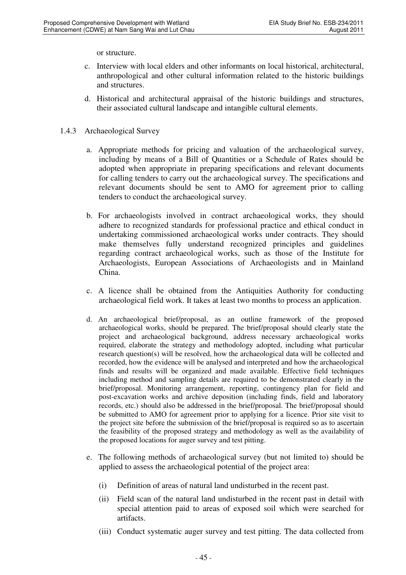or structure.

- c. Interview with local elders and other informants on local historical, architectural, anthropological and other cultural information related to the historic buildings and structures.
- d. Historical and architectural appraisal of the historic buildings and structures, their associated cultural landscape and intangible cultural elements.
- 1.4.3 Archaeological Survey
	- a. Appropriate methods for pricing and valuation of the archaeological survey, including by means of a Bill of Quantities or a Schedule of Rates should be adopted when appropriate in preparing specifications and relevant documents for calling tenders to carry out the archaeological survey. The specifications and relevant documents should be sent to AMO for agreement prior to calling tenders to conduct the archaeological survey.
	- b. For archaeologists involved in contract archaeological works, they should adhere to recognized standards for professional practice and ethical conduct in undertaking commissioned archaeological works under contracts. They should make themselves fully understand recognized principles and guidelines regarding contract archaeological works, such as those of the Institute for Archaeologists, European Associations of Archaeologists and in Mainland China.
	- c. A licence shall be obtained from the Antiquities Authority for conducting archaeological field work. It takes at least two months to process an application.
	- d. An archaeological brief/proposal, as an outline framework of the proposed archaeological works, should be prepared. The brief/proposal should clearly state the project and archaeological background, address necessary archaeological works required, elaborate the strategy and methodology adopted, including what particular research question(s) will be resolved, how the archaeological data will be collected and recorded, how the evidence will be analysed and interpreted and how the archaeological finds and results will be organized and made available. Effective field techniques including method and sampling details are required to be demonstrated clearly in the brief/proposal. Monitoring arrangement, reporting, contingency plan for field and post-excavation works and archive deposition (including finds, field and laboratory records, etc.) should also be addressed in the brief/proposal. The brief/proposal should be submitted to AMO for agreement prior to applying for a licence. Prior site visit to the project site before the submission of the brief/proposal is required so as to ascertain the feasibility of the proposed strategy and methodology as well as the availability of the proposed locations for auger survey and test pitting.
	- e. The following methods of archaeological survey (but not limited to) should be applied to assess the archaeological potential of the project area:
		- (i) Definition of areas of natural land undisturbed in the recent past.
		- (ii) Field scan of the natural land undisturbed in the recent past in detail with special attention paid to areas of exposed soil which were searched for artifacts.
		- (iii) Conduct systematic auger survey and test pitting. The data collected from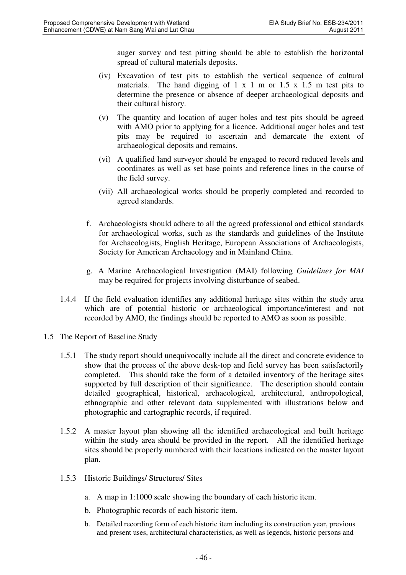auger survey and test pitting should be able to establish the horizontal spread of cultural materials deposits.

- (iv) Excavation of test pits to establish the vertical sequence of cultural materials. The hand digging of  $1 \times 1$  m or  $1.5 \times 1.5$  m test pits to determine the presence or absence of deeper archaeological deposits and their cultural history.
- (v) The quantity and location of auger holes and test pits should be agreed with AMO prior to applying for a licence. Additional auger holes and test pits may be required to ascertain and demarcate the extent of archaeological deposits and remains.
- (vi) A qualified land surveyor should be engaged to record reduced levels and coordinates as well as set base points and reference lines in the course of the field survey.
- (vii) All archaeological works should be properly completed and recorded to agreed standards.
- f. Archaeologists should adhere to all the agreed professional and ethical standards for archaeological works, such as the standards and guidelines of the Institute for Archaeologists, English Heritage, European Associations of Archaeologists, Society for American Archaeology and in Mainland China.
- g. A Marine Archaeological Investigation (MAI) following *Guidelines for MAI* may be required for projects involving disturbance of seabed.
- 1.4.4 If the field evaluation identifies any additional heritage sites within the study area which are of potential historic or archaeological importance/interest and not recorded by AMO, the findings should be reported to AMO as soon as possible.
- 1.5 The Report of Baseline Study
	- 1.5.1 The study report should unequivocally include all the direct and concrete evidence to show that the process of the above desk-top and field survey has been satisfactorily completed. This should take the form of a detailed inventory of the heritage sites supported by full description of their significance. The description should contain detailed geographical, historical, archaeological, architectural, anthropological, ethnographic and other relevant data supplemented with illustrations below and photographic and cartographic records, if required.
	- 1.5.2 A master layout plan showing all the identified archaeological and built heritage within the study area should be provided in the report. All the identified heritage sites should be properly numbered with their locations indicated on the master layout plan.
	- 1.5.3 Historic Buildings/ Structures/ Sites
		- a. A map in 1:1000 scale showing the boundary of each historic item.
		- b. Photographic records of each historic item.
		- b. Detailed recording form of each historic item including its construction year, previous and present uses, architectural characteristics, as well as legends, historic persons and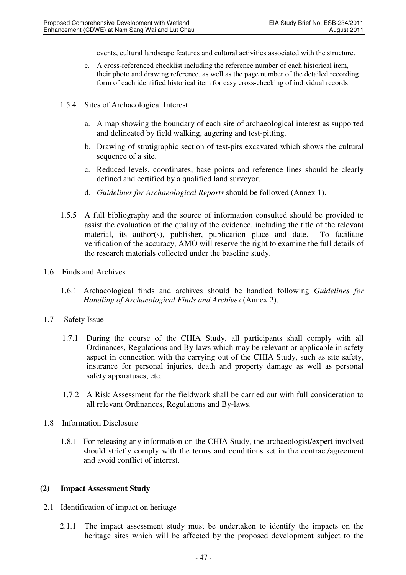events, cultural landscape features and cultural activities associated with the structure.

- c. A cross-referenced checklist including the reference number of each historical item, their photo and drawing reference, as well as the page number of the detailed recording form of each identified historical item for easy cross-checking of individual records.
- 1.5.4 Sites of Archaeological Interest
	- a. A map showing the boundary of each site of archaeological interest as supported and delineated by field walking, augering and test-pitting.
	- b. Drawing of stratigraphic section of test-pits excavated which shows the cultural sequence of a site.
	- c. Reduced levels, coordinates, base points and reference lines should be clearly defined and certified by a qualified land surveyor.
	- d. *Guidelines for Archaeological Reports* should be followed (Annex 1).
- 1.5.5 A full bibliography and the source of information consulted should be provided to assist the evaluation of the quality of the evidence, including the title of the relevant material, its author(s), publisher, publication place and date. To facilitate verification of the accuracy, AMO will reserve the right to examine the full details of the research materials collected under the baseline study.
- 1.6 Finds and Archives
	- 1.6.1 Archaeological finds and archives should be handled following *Guidelines for Handling of Archaeological Finds and Archives* (Annex 2).
- 1.7 Safety Issue
	- 1.7.1 During the course of the CHIA Study, all participants shall comply with all Ordinances, Regulations and By-laws which may be relevant or applicable in safety aspect in connection with the carrying out of the CHIA Study, such as site safety, insurance for personal injuries, death and property damage as well as personal safety apparatuses, etc.
	- 1.7.2 A Risk Assessment for the fieldwork shall be carried out with full consideration to all relevant Ordinances, Regulations and By-laws.
- 1.8 Information Disclosure
	- 1.8.1 For releasing any information on the CHIA Study, the archaeologist/expert involved should strictly comply with the terms and conditions set in the contract/agreement and avoid conflict of interest.

### **(2) Impact Assessment Study**

- 2.1 Identification of impact on heritage
	- 2.1.1 The impact assessment study must be undertaken to identify the impacts on the heritage sites which will be affected by the proposed development subject to the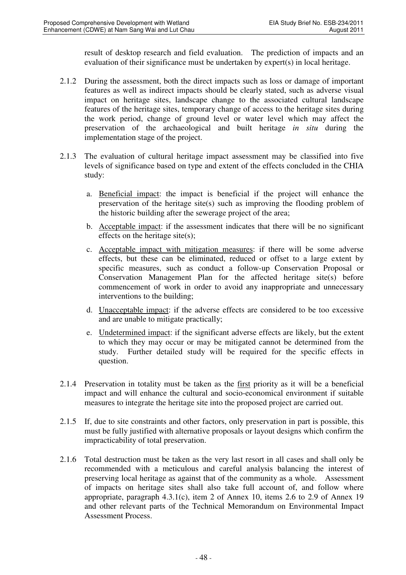result of desktop research and field evaluation. The prediction of impacts and an evaluation of their significance must be undertaken by expert(s) in local heritage.

- 2.1.2 During the assessment, both the direct impacts such as loss or damage of important features as well as indirect impacts should be clearly stated, such as adverse visual impact on heritage sites, landscape change to the associated cultural landscape features of the heritage sites, temporary change of access to the heritage sites during the work period, change of ground level or water level which may affect the preservation of the archaeological and built heritage *in situ* during the implementation stage of the project.
- 2.1.3 The evaluation of cultural heritage impact assessment may be classified into five levels of significance based on type and extent of the effects concluded in the CHIA study:
	- a. Beneficial impact: the impact is beneficial if the project will enhance the preservation of the heritage site(s) such as improving the flooding problem of the historic building after the sewerage project of the area;
	- b. Acceptable impact: if the assessment indicates that there will be no significant effects on the heritage site(s);
	- c. Acceptable impact with mitigation measures: if there will be some adverse effects, but these can be eliminated, reduced or offset to a large extent by specific measures, such as conduct a follow-up Conservation Proposal or Conservation Management Plan for the affected heritage site(s) before commencement of work in order to avoid any inappropriate and unnecessary interventions to the building;
	- d. Unacceptable impact: if the adverse effects are considered to be too excessive and are unable to mitigate practically;
	- e. Undetermined impact: if the significant adverse effects are likely, but the extent to which they may occur or may be mitigated cannot be determined from the study. Further detailed study will be required for the specific effects in question.
- 2.1.4 Preservation in totality must be taken as the first priority as it will be a beneficial impact and will enhance the cultural and socio-economical environment if suitable measures to integrate the heritage site into the proposed project are carried out.
- 2.1.5 If, due to site constraints and other factors, only preservation in part is possible, this must be fully justified with alternative proposals or layout designs which confirm the impracticability of total preservation.
- 2.1.6 Total destruction must be taken as the very last resort in all cases and shall only be recommended with a meticulous and careful analysis balancing the interest of preserving local heritage as against that of the community as a whole. Assessment of impacts on heritage sites shall also take full account of, and follow where appropriate, paragraph 4.3.1(c), item 2 of Annex 10, items 2.6 to 2.9 of Annex 19 and other relevant parts of the Technical Memorandum on Environmental Impact Assessment Process.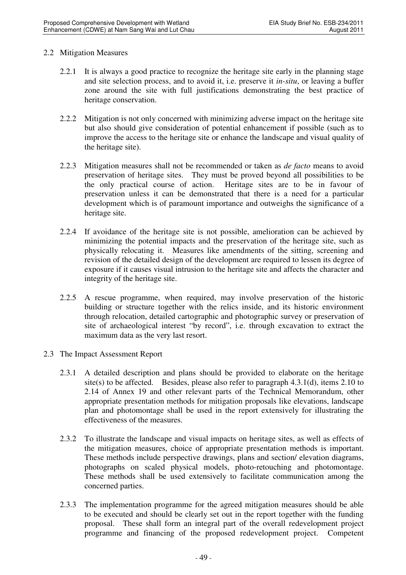#### 2.2 Mitigation Measures

- 2.2.1 It is always a good practice to recognize the heritage site early in the planning stage and site selection process, and to avoid it, i.e. preserve it *in-situ*, or leaving a buffer zone around the site with full justifications demonstrating the best practice of heritage conservation.
- 2.2.2 Mitigation is not only concerned with minimizing adverse impact on the heritage site but also should give consideration of potential enhancement if possible (such as to improve the access to the heritage site or enhance the landscape and visual quality of the heritage site).
- 2.2.3 Mitigation measures shall not be recommended or taken as *de facto* means to avoid preservation of heritage sites. They must be proved beyond all possibilities to be the only practical course of action. Heritage sites are to be in favour of Heritage sites are to be in favour of preservation unless it can be demonstrated that there is a need for a particular development which is of paramount importance and outweighs the significance of a heritage site.
- 2.2.4 If avoidance of the heritage site is not possible, amelioration can be achieved by minimizing the potential impacts and the preservation of the heritage site, such as physically relocating it. Measures like amendments of the sitting, screening and revision of the detailed design of the development are required to lessen its degree of exposure if it causes visual intrusion to the heritage site and affects the character and integrity of the heritage site.
- 2.2.5 A rescue programme, when required, may involve preservation of the historic building or structure together with the relics inside, and its historic environment through relocation, detailed cartographic and photographic survey or preservation of site of archaeological interest "by record", i.e. through excavation to extract the maximum data as the very last resort.
- 2.3 The Impact Assessment Report
	- 2.3.1 A detailed description and plans should be provided to elaborate on the heritage site(s) to be affected. Besides, please also refer to paragraph  $4.3.1(d)$ , items  $2.10$  to 2.14 of Annex 19 and other relevant parts of the Technical Memorandum, other appropriate presentation methods for mitigation proposals like elevations, landscape plan and photomontage shall be used in the report extensively for illustrating the effectiveness of the measures.
	- 2.3.2 To illustrate the landscape and visual impacts on heritage sites, as well as effects of the mitigation measures, choice of appropriate presentation methods is important. These methods include perspective drawings, plans and section/ elevation diagrams, photographs on scaled physical models, photo-retouching and photomontage. These methods shall be used extensively to facilitate communication among the concerned parties.
	- 2.3.3 The implementation programme for the agreed mitigation measures should be able to be executed and should be clearly set out in the report together with the funding proposal. These shall form an integral part of the overall redevelopment project programme and financing of the proposed redevelopment project. Competent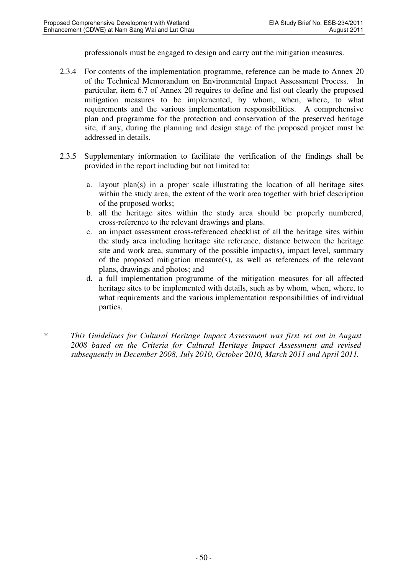professionals must be engaged to design and carry out the mitigation measures.

- 2.3.4 For contents of the implementation programme, reference can be made to Annex 20 of the Technical Memorandum on Environmental Impact Assessment Process. In particular, item 6.7 of Annex 20 requires to define and list out clearly the proposed mitigation measures to be implemented, by whom, when, where, to what requirements and the various implementation responsibilities. A comprehensive plan and programme for the protection and conservation of the preserved heritage site, if any, during the planning and design stage of the proposed project must be addressed in details.
- 2.3.5 Supplementary information to facilitate the verification of the findings shall be provided in the report including but not limited to:
	- a. layout plan(s) in a proper scale illustrating the location of all heritage sites within the study area, the extent of the work area together with brief description of the proposed works;
	- b. all the heritage sites within the study area should be properly numbered, cross-reference to the relevant drawings and plans.
	- c. an impact assessment cross-referenced checklist of all the heritage sites within the study area including heritage site reference, distance between the heritage site and work area, summary of the possible impact(s), impact level, summary of the proposed mitigation measure(s), as well as references of the relevant plans, drawings and photos; and
	- d. a full implementation programme of the mitigation measures for all affected heritage sites to be implemented with details, such as by whom, when, where, to what requirements and the various implementation responsibilities of individual parties.
- *\* This Guidelines for Cultural Heritage Impact Assessment was first set out in August 2008 based on the Criteria for Cultural Heritage Impact Assessment and revised subsequently in December 2008, July 2010, October 2010, March 2011 and April 2011.*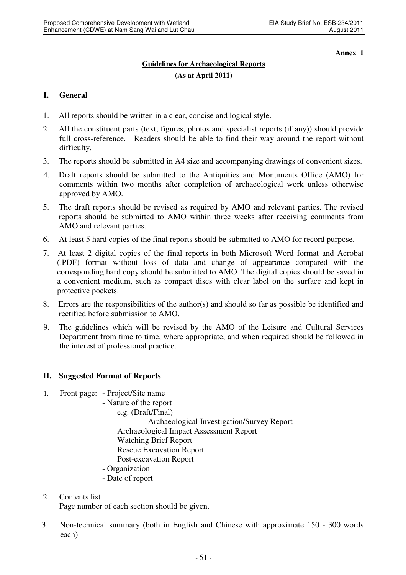**Annex 1** 

# **Guidelines for Archaeological Reports (As at April 2011)**

### **I. General**

- 1. All reports should be written in a clear, concise and logical style.
- 2. All the constituent parts (text, figures, photos and specialist reports (if any)) should provide full cross-reference. Readers should be able to find their way around the report without difficulty.
- 3. The reports should be submitted in A4 size and accompanying drawings of convenient sizes.
- 4. Draft reports should be submitted to the Antiquities and Monuments Office (AMO) for comments within two months after completion of archaeological work unless otherwise approved by AMO.
- 5. The draft reports should be revised as required by AMO and relevant parties. The revised reports should be submitted to AMO within three weeks after receiving comments from AMO and relevant parties.
- 6. At least 5 hard copies of the final reports should be submitted to AMO for record purpose.
- 7. At least 2 digital copies of the final reports in both Microsoft Word format and Acrobat (.PDF) format without loss of data and change of appearance compared with the corresponding hard copy should be submitted to AMO. The digital copies should be saved in a convenient medium, such as compact discs with clear label on the surface and kept in protective pockets.
- 8. Errors are the responsibilities of the author(s) and should so far as possible be identified and rectified before submission to AMO.
- 9. The guidelines which will be revised by the AMO of the Leisure and Cultural Services Department from time to time, where appropriate, and when required should be followed in the interest of professional practice.

### **II. Suggested Format of Reports**

- 1. Front page: Project/Site name
	- Nature of the report
		- e.g. (Draft/Final)

 Archaeological Investigation/Survey Report Archaeological Impact Assessment Report Watching Brief Report Rescue Excavation Report Post-excavation Report

- Organization
- Date of report
- 2. Contents list Page number of each section should be given.
- 3. Non-technical summary (both in English and Chinese with approximate 150 300 words each)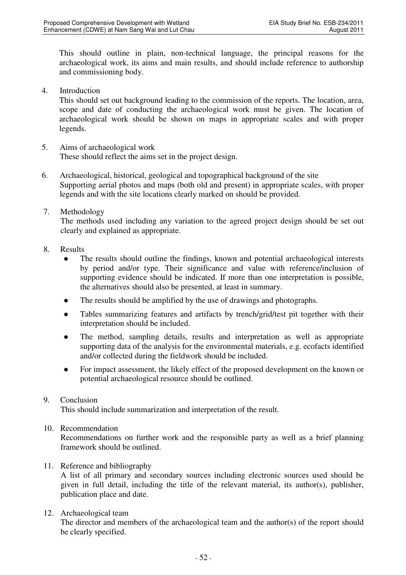This should outline in plain, non-technical language, the principal reasons for the archaeological work, its aims and main results, and should include reference to authorship and commissioning body.

4. Introduction

This should set out background leading to the commission of the reports. The location, area, scope and date of conducting the archaeological work must be given. The location of archaeological work should be shown on maps in appropriate scales and with proper legends.

- 5. Aims of archaeological work These should reflect the aims set in the project design.
- 6. Archaeological, historical, geological and topographical background of the site Supporting aerial photos and maps (both old and present) in appropriate scales, with proper legends and with the site locations clearly marked on should be provided.
- 7. Methodology

The methods used including any variation to the agreed project design should be set out clearly and explained as appropriate.

- 8. Results
	- The results should outline the findings, known and potential archaeological interests by period and/or type. Their significance and value with reference/inclusion of supporting evidence should be indicated. If more than one interpretation is possible, the alternatives should also be presented, at least in summary.
	- The results should be amplified by the use of drawings and photographs.
	- Tables summarizing features and artifacts by trench/grid/test pit together with their interpretation should be included.
	- The method, sampling details, results and interpretation as well as appropriate supporting data of the analysis for the environmental materials, e.g. ecofacts identified and/or collected during the fieldwork should be included.
	- For impact assessment, the likely effect of the proposed development on the known or potential archaeological resource should be outlined.

### 9. Conclusion

This should include summarization and interpretation of the result.

10. Recommendation

Recommendations on further work and the responsible party as well as a brief planning framework should be outlined.

### 11. Reference and bibliography

A list of all primary and secondary sources including electronic sources used should be given in full detail, including the title of the relevant material, its author(s), publisher, publication place and date.

### 12. Archaeological team

The director and members of the archaeological team and the author(s) of the report should be clearly specified.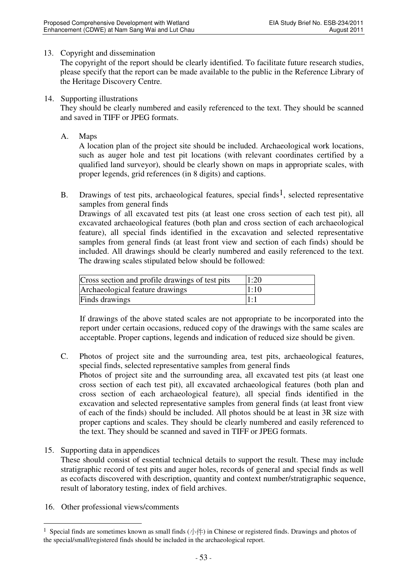#### 13. Copyright and dissemination

The copyright of the report should be clearly identified. To facilitate future research studies, please specify that the report can be made available to the public in the Reference Library of the Heritage Discovery Centre.

#### 14. Supporting illustrations

They should be clearly numbered and easily referenced to the text. They should be scanned and saved in TIFF or JPEG formats.

A. Maps

 A location plan of the project site should be included. Archaeological work locations, such as auger hole and test pit locations (with relevant coordinates certified by a qualified land surveyor), should be clearly shown on maps in appropriate scales, with proper legends, grid references (in 8 digits) and captions.

B. Drawings of test pits, archaeological features, special finds<sup>1</sup>, selected representative samples from general finds

Drawings of all excavated test pits (at least one cross section of each test pit), all excavated archaeological features (both plan and cross section of each archaeological feature), all special finds identified in the excavation and selected representative samples from general finds (at least front view and section of each finds) should be included. All drawings should be clearly numbered and easily referenced to the text. The drawing scales stipulated below should be followed:

| Cross section and profile drawings of test pits | 1:20 |
|-------------------------------------------------|------|
| Archaeological feature drawings                 | 1:10 |
| Finds drawings                                  | 1:1  |

 If drawings of the above stated scales are not appropriate to be incorporated into the report under certain occasions, reduced copy of the drawings with the same scales are acceptable. Proper captions, legends and indication of reduced size should be given.

- C. Photos of project site and the surrounding area, test pits, archaeological features, special finds, selected representative samples from general finds Photos of project site and the surrounding area, all excavated test pits (at least one cross section of each test pit), all excavated archaeological features (both plan and cross section of each archaeological feature), all special finds identified in the excavation and selected representative samples from general finds (at least front view of each of the finds) should be included. All photos should be at least in 3R size with proper captions and scales. They should be clearly numbered and easily referenced to the text. They should be scanned and saved in TIFF or JPEG formats.
- 15. Supporting data in appendices

These should consist of essential technical details to support the result. These may include stratigraphic record of test pits and auger holes, records of general and special finds as well as ecofacts discovered with description, quantity and context number/stratigraphic sequence, result of laboratory testing, index of field archives.

16. Other professional views/comments

 $\overline{a}$ 

<sup>&</sup>lt;sup>1</sup> Special finds are sometimes known as small finds  $(\sqrt{})$  in Chinese or registered finds. Drawings and photos of the special/small/registered finds should be included in the archaeological report.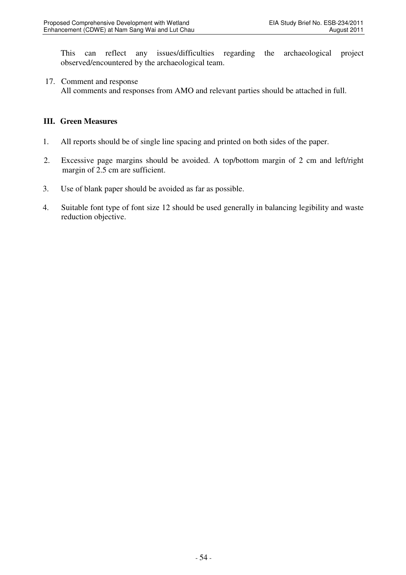This can reflect any issues/difficulties regarding the archaeological project observed/encountered by the archaeological team.

#### 17. Comment and response

All comments and responses from AMO and relevant parties should be attached in full.

#### **III. Green Measures**

- 1. All reports should be of single line spacing and printed on both sides of the paper.
- 2. Excessive page margins should be avoided. A top/bottom margin of 2 cm and left/right margin of 2.5 cm are sufficient.
- 3. Use of blank paper should be avoided as far as possible.
- 4. Suitable font type of font size 12 should be used generally in balancing legibility and waste reduction objective.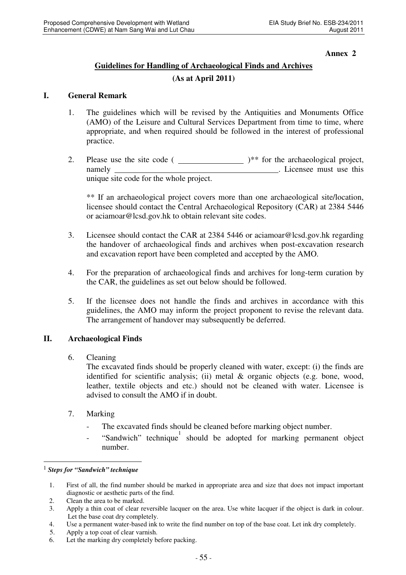#### **Annex 2**

# **Guidelines for Handling of Archaeological Finds and Archives**

### **(As at April 2011)**

### **I. General Remark**

- 1. The guidelines which will be revised by the Antiquities and Monuments Office (AMO) of the Leisure and Cultural Services Department from time to time, where appropriate, and when required should be followed in the interest of professional practice.
- 2. Please use the site code  $($   $)$   $*$  for the archaeological project, namely **example 2** Licensee must use this unique site code for the whole project.

\*\* If an archaeological project covers more than one archaeological site/location, licensee should contact the Central Archaeological Repository (CAR) at 2384 5446 or aciamoar@lcsd.gov.hk to obtain relevant site codes.

- 3. Licensee should contact the CAR at 2384 5446 or aciamoar@lcsd.gov.hk regarding the handover of archaeological finds and archives when post-excavation research and excavation report have been completed and accepted by the AMO.
- 4. For the preparation of archaeological finds and archives for long-term curation by the CAR, the guidelines as set out below should be followed.
- 5. If the licensee does not handle the finds and archives in accordance with this guidelines, the AMO may inform the project proponent to revise the relevant data. The arrangement of handover may subsequently be deferred.

### **II. Archaeological Finds**

### 6. Cleaning

The excavated finds should be properly cleaned with water, except: (i) the finds are identified for scientific analysis; (ii) metal & organic objects (e.g. bone, wood, leather, textile objects and etc.) should not be cleaned with water. Licensee is advised to consult the AMO if in doubt.

- 7. Marking
	- The excavated finds should be cleaned before marking object number.
	- "Sandwich" technique should be adopted for marking permanent object number.

 $\overline{a}$ 

5. Apply a top coat of clear varnish.

<sup>1</sup> *Steps for "Sandwich" technique* 

<sup>1.</sup> First of all, the find number should be marked in appropriate area and size that does not impact important diagnostic or aesthetic parts of the find.

<sup>2.</sup> Clean the area to be marked.

<sup>3.</sup> Apply a thin coat of clear reversible lacquer on the area. Use white lacquer if the object is dark in colour. Let the base coat dry completely.

<sup>4.</sup> Use a permanent water-based ink to write the find number on top of the base coat. Let ink dry completely.

<sup>6.</sup> Let the marking dry completely before packing.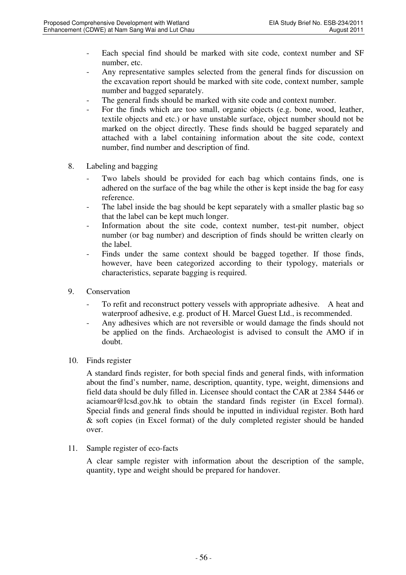- Each special find should be marked with site code, context number and SF number, etc.
- Any representative samples selected from the general finds for discussion on the excavation report should be marked with site code, context number, sample number and bagged separately.
- The general finds should be marked with site code and context number.
- For the finds which are too small, organic objects (e.g. bone, wood, leather, textile objects and etc.) or have unstable surface, object number should not be marked on the object directly. These finds should be bagged separately and attached with a label containing information about the site code, context number, find number and description of find.
- 8. Labeling and bagging
	- Two labels should be provided for each bag which contains finds, one is adhered on the surface of the bag while the other is kept inside the bag for easy reference.
	- The label inside the bag should be kept separately with a smaller plastic bag so that the label can be kept much longer.
	- Information about the site code, context number, test-pit number, object number (or bag number) and description of finds should be written clearly on the label.
	- Finds under the same context should be bagged together. If those finds, however, have been categorized according to their typology, materials or characteristics, separate bagging is required.
- 9. Conservation
	- To refit and reconstruct pottery vessels with appropriate adhesive. A heat and waterproof adhesive, e.g. product of H. Marcel Guest Ltd., is recommended.
	- Any adhesives which are not reversible or would damage the finds should not be applied on the finds. Archaeologist is advised to consult the AMO if in doubt.
- 10. Finds register

A standard finds register, for both special finds and general finds, with information about the find's number, name, description, quantity, type, weight, dimensions and field data should be duly filled in. Licensee should contact the CAR at 2384 5446 or aciamoar@lcsd.gov.hk to obtain the standard finds register (in Excel formal). Special finds and general finds should be inputted in individual register. Both hard & soft copies (in Excel format) of the duly completed register should be handed over.

11. Sample register of eco-facts

A clear sample register with information about the description of the sample, quantity, type and weight should be prepared for handover.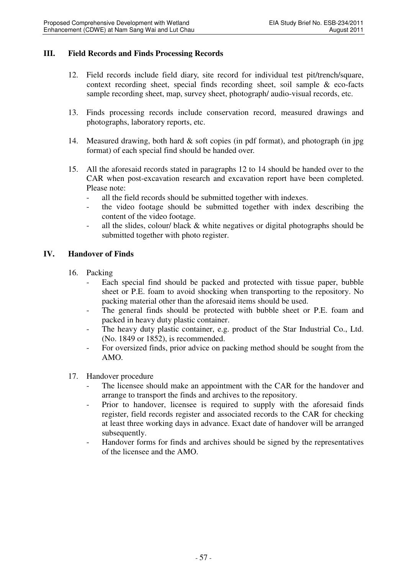#### **III. Field Records and Finds Processing Records**

- 12. Field records include field diary, site record for individual test pit/trench/square, context recording sheet, special finds recording sheet, soil sample & eco-facts sample recording sheet, map, survey sheet, photograph/ audio-visual records, etc.
- 13. Finds processing records include conservation record, measured drawings and photographs, laboratory reports, etc.
- 14. Measured drawing, both hard & soft copies (in pdf format), and photograph (in jpg format) of each special find should be handed over.
- 15. All the aforesaid records stated in paragraphs 12 to 14 should be handed over to the CAR when post-excavation research and excavation report have been completed. Please note:
	- all the field records should be submitted together with indexes.
	- the video footage should be submitted together with index describing the content of the video footage.
	- all the slides, colour/ black  $\&$  white negatives or digital photographs should be submitted together with photo register.

#### **IV. Handover of Finds**

- 16. Packing
	- Each special find should be packed and protected with tissue paper, bubble sheet or P.E. foam to avoid shocking when transporting to the repository. No packing material other than the aforesaid items should be used.
	- The general finds should be protected with bubble sheet or P.E. foam and packed in heavy duty plastic container.
	- The heavy duty plastic container, e.g. product of the Star Industrial Co., Ltd. (No. 1849 or 1852), is recommended.
	- For oversized finds, prior advice on packing method should be sought from the AMO.
- 17. Handover procedure
	- The licensee should make an appointment with the CAR for the handover and arrange to transport the finds and archives to the repository.
	- Prior to handover, licensee is required to supply with the aforesaid finds register, field records register and associated records to the CAR for checking at least three working days in advance. Exact date of handover will be arranged subsequently.
	- Handover forms for finds and archives should be signed by the representatives of the licensee and the AMO.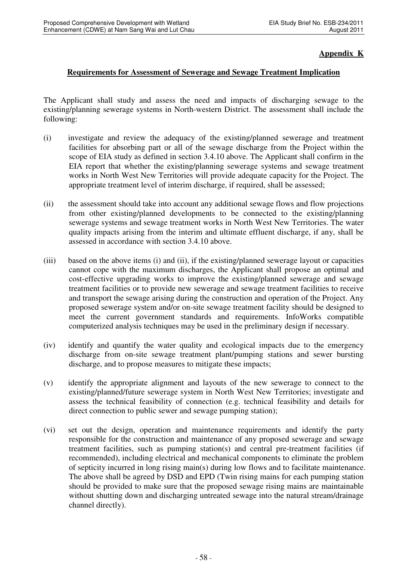### **Appendix K**

#### **Requirements for Assessment of Sewerage and Sewage Treatment Implication**

The Applicant shall study and assess the need and impacts of discharging sewage to the existing/planning sewerage systems in North-western District. The assessment shall include the following:

- (i) investigate and review the adequacy of the existing/planned sewerage and treatment facilities for absorbing part or all of the sewage discharge from the Project within the scope of EIA study as defined in section 3.4.10 above. The Applicant shall confirm in the EIA report that whether the existing/planning sewerage systems and sewage treatment works in North West New Territories will provide adequate capacity for the Project. The appropriate treatment level of interim discharge, if required, shall be assessed;
- (ii) the assessment should take into account any additional sewage flows and flow projections from other existing/planned developments to be connected to the existing/planning sewerage systems and sewage treatment works in North West New Territories. The water quality impacts arising from the interim and ultimate effluent discharge, if any, shall be assessed in accordance with section 3.4.10 above.
- (iii) based on the above items (i) and (ii), if the existing/planned sewerage layout or capacities cannot cope with the maximum discharges, the Applicant shall propose an optimal and cost-effective upgrading works to improve the existing/planned sewerage and sewage treatment facilities or to provide new sewerage and sewage treatment facilities to receive and transport the sewage arising during the construction and operation of the Project. Any proposed sewerage system and/or on-site sewage treatment facility should be designed to meet the current government standards and requirements. InfoWorks compatible computerized analysis techniques may be used in the preliminary design if necessary.
- (iv) identify and quantify the water quality and ecological impacts due to the emergency discharge from on-site sewage treatment plant/pumping stations and sewer bursting discharge, and to propose measures to mitigate these impacts;
- (v) identify the appropriate alignment and layouts of the new sewerage to connect to the existing/planned/future sewerage system in North West New Territories; investigate and assess the technical feasibility of connection (e.g. technical feasibility and details for direct connection to public sewer and sewage pumping station);
- (vi) set out the design, operation and maintenance requirements and identify the party responsible for the construction and maintenance of any proposed sewerage and sewage treatment facilities, such as pumping station(s) and central pre-treatment facilities (if recommended), including electrical and mechanical components to eliminate the problem of septicity incurred in long rising main(s) during low flows and to facilitate maintenance. The above shall be agreed by DSD and EPD (Twin rising mains for each pumping station should be provided to make sure that the proposed sewage rising mains are maintainable without shutting down and discharging untreated sewage into the natural stream/drainage channel directly).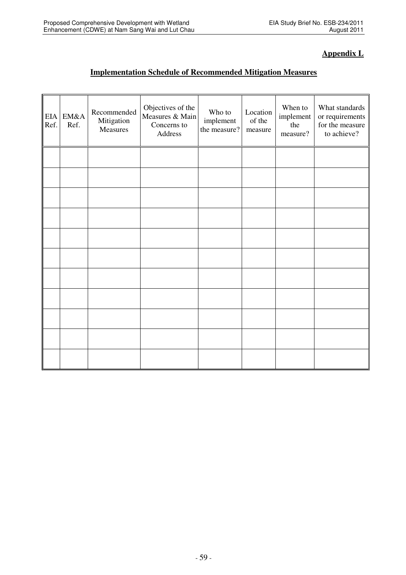# **Appendix L**

# **Implementation Schedule of Recommended Mitigation Measures**

| EIA<br>Ref. | EM&A<br>Ref. | Recommended<br>Mitigation<br>Measures | Objectives of the<br>Measures & Main<br>Concerns to<br>Address | Who to<br>implement<br>the measure? | Location<br>of the<br>measure | When to<br>implement<br>the<br>measure? | What standards<br>or requirements<br>for the measure<br>to achieve? |
|-------------|--------------|---------------------------------------|----------------------------------------------------------------|-------------------------------------|-------------------------------|-----------------------------------------|---------------------------------------------------------------------|
|             |              |                                       |                                                                |                                     |                               |                                         |                                                                     |
|             |              |                                       |                                                                |                                     |                               |                                         |                                                                     |
|             |              |                                       |                                                                |                                     |                               |                                         |                                                                     |
|             |              |                                       |                                                                |                                     |                               |                                         |                                                                     |
|             |              |                                       |                                                                |                                     |                               |                                         |                                                                     |
|             |              |                                       |                                                                |                                     |                               |                                         |                                                                     |
|             |              |                                       |                                                                |                                     |                               |                                         |                                                                     |
|             |              |                                       |                                                                |                                     |                               |                                         |                                                                     |
|             |              |                                       |                                                                |                                     |                               |                                         |                                                                     |
|             |              |                                       |                                                                |                                     |                               |                                         |                                                                     |
|             |              |                                       |                                                                |                                     |                               |                                         |                                                                     |